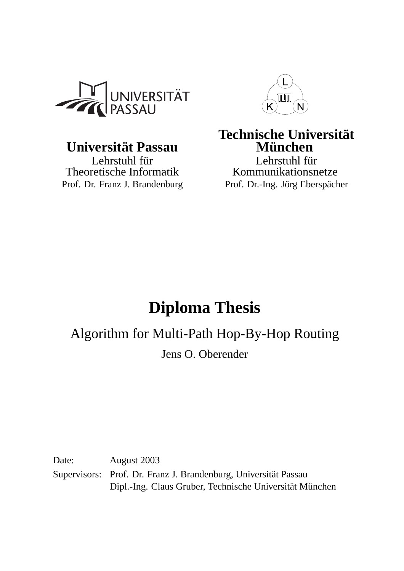

# $Universität Passau$

Theoretische Informatik Prof. Dr. Franz J. Brandenburg Prof. Dr.-Ing. Jörg Eberspächer



# **Technische Universität**<br>**München**

Lehrstuhl für<br>
Tehrstuhl für Lehrstuhl für<br>
Kommunikationsnetze

# **Diploma Thesis**

Algorithm for Multi-Path Hop-By-Hop Routing

Jens O. Oberender

Date: August 2003 Supervisors: Prof. Dr. Franz J. Brandenburg, Universität Passau Dipl.-Ing. Claus Gruber, Technische Universität München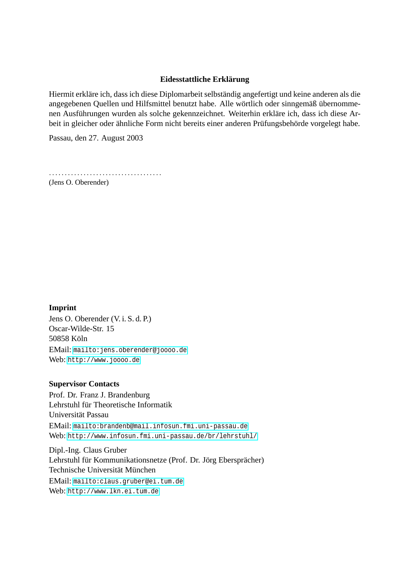#### $E$ *idesstattliche Erklärung*

Hiermit erkläre ich, dass ich diese Diplomarbeit selbständig angefertigt und keine anderen als die angegebenen Quellen und Hilfsmittel benutzt habe. Alle wörtlich oder sinngemäß übernommenen Ausführungen wurden als solche gekennzeichnet. Weiterhin erkläre ich, dass ich diese Arbeit in gleicher oder ähnliche Form nicht bereits einer anderen Prüfungsbehörde vorgelegt habe.

Passau, den 27. August 2003

....................................

(Jens O. Oberender)

#### **Imprint**

Jens O. Oberender (V. i. S. d. P.) Oscar-Wilde-Str. 15 50858 Köln EMail: mailto:jens.oberender@joooo.de Web: http://www.joooo.de

#### **Super[visor Contacts](mailto:jens.oberender@joooo.de)**

Prof. [Dr. Franz J. Brandenbu](http://www.joooo.de)rg Lehrstuhl für Theoretische Informatik Universität Passau EMail: mailto:brandenb@mail.infosun.fmi.uni-passau.de Web: http://www.infosun.fmi.uni-passau.de/br/lehrstuhl/

Dipl.-Ing. Claus Gruber Lehrstuhl für Kommunikationsnetze (Prof. Dr. Jörg Ebersprächer) Technische Universität München EMail: mailto:claus.gruber@ei.tum.de

Web: http://www.lkn.ei.tum.de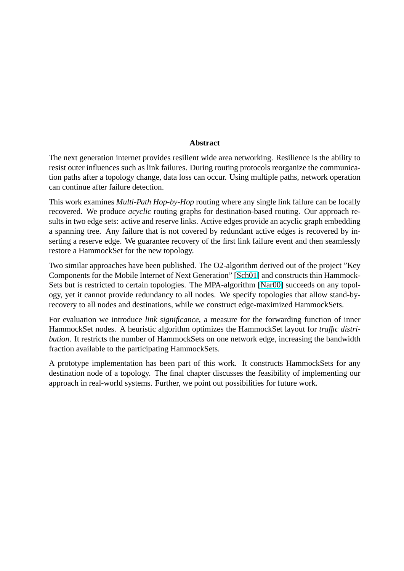#### **Abstract**

<span id="page-2-0"></span>The next generation internet provides resilient wide area networking. Resilience is the ability to resist outer influences such as link failures. During routing protocols reorganize the communication paths after a topology change, data loss can occur. Using multiple paths, network operation can continue after failure detection.

This work examines *Multi-Path Hop-by-Hop* routing where any single link failure can be locally recovered. We produce *acyclic* routing graphs for destination-based routing. Our approach results in two edge sets: active and reserve links. Active edges provide an acyclic graph embedding a spanning tree. Any failure that is not covered by redundant active edges is recovered by inserting a reserve edge. We guarantee recovery of the first link failure event and then seamlessly restore a HammockSet for the new topology.

Two similar approaches have been published. The O2-algorithm derived out of the project "Key Components for the Mobile Internet of Next Generation" [Sch01] and constructs thin Hammock-Sets but is restricted to certain topologies. The MPA-algorithm [Nar00] succeeds on any topology, yet it cannot provide redundancy to all nodes. We specify topologies that allow stand-byrecovery to all nodes and destinations, while we construc[t edge-m](#page-78-0)aximized HammockSets.

For evaluation we introduce *link significance*, a measure for th[e forwa](#page-77-0)rding function of inner HammockSet nodes. A heuristic algorithm optimizes the HammockSet layout for *traffic distribution*. It restricts the number of HammockSets on one network edge, increasing the bandwidth fraction available to the participating HammockSets.

A prototype implementation has been part of this work. It constructs HammockSets for any destination node of a topology. The final chapter discusses the feasibility of implementing our approach in real-world systems. Further, we point out possibilities for future work.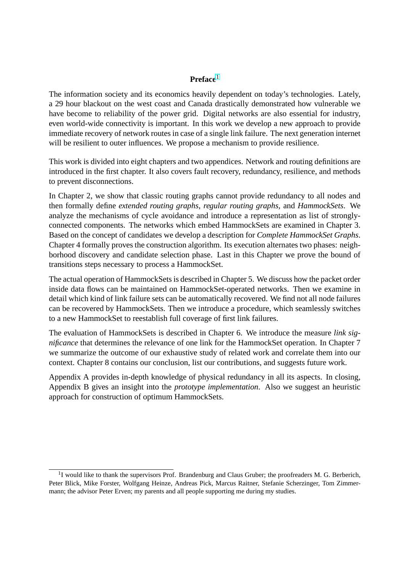#### **Preface**<sup>1</sup>

The information society and its economics heavily dependent on today's technologies. Lately, a 29 hour blackout on the west coast and Canada drastically demonstrated how vulnerable we have become to reliability of the power grid. Digital networks are also essential for industry, even world-wide connectivity is important. In this work we develop a new approach to provide immediate recovery of network routes in case of a single link failure. The next generation internet will be resilient to outer influences. We propose a mechanism to provide resilience.

This work is divided into eight chapters and two appendices. Network and routing definitions are introduced in the first chapter. It also covers fault recovery, redundancy, resilience, and methods to prevent disconnections.

In Chapter 2, we show that classic routing graphs cannot provide redundancy to all nodes and then formally define *extended routing graphs*, *regular routing graphs*, and *HammockSets*. We analyze the mechanisms of cycle avoidance and introduce a representation as list of stronglyconnected components. The networks which embed HammockSets are examined in Chapter 3. Based on the concept of candidates we develop a description for *Complete HammockSet Graphs*. Chapter 4 formally proves the construction algorithm. Its execution alternates two phases: neighborhood discovery and candidate selection phase. Last in this Chapter we prove the bound of transitions steps necessary to process a HammockSet.

The actual operation of HammockSets is described in Chapter 5. We discuss how the packet order inside data flows can be maintained on HammockSet-operated networks. Then we examine in detail which kind of link failure sets can be automatically recovered. We find not all node failures can be recovered by HammockSets. Then we introduce a procedure, which seamlessly switches to a new HammockSet to reestablish full coverage of first link failures.

The evaluation of HammockSets is described in Chapter 6. We introduce the measure *link significance* that determines the relevance of one link for the HammockSet operation. In Chapter 7 we summarize the outcome of our exhaustive study of related work and correlate them into our context. Chapter 8 contains our conclusion, list our contributions, and suggests future work.

Appendix A provides in-depth knowledge of physical redundancy in all its aspects. In closing, Appendix B gives an insight into the *prototype implementation*. Also we suggest an heuristic approach for construction of optimum HammockSets.

<sup>&</sup>lt;sup>1</sup>I would like to thank the supervisors Prof. Brandenburg and Claus Gruber; the proofreaders M. G. Berberich, Peter Blick, Mike Forster, Wolfgang Heinze, Andreas Pick, Marcus Raitner, Stefanie Scherzinger, Tom Zimmermann; the advisor Peter Erven; my parents and all people supporting me during my studies.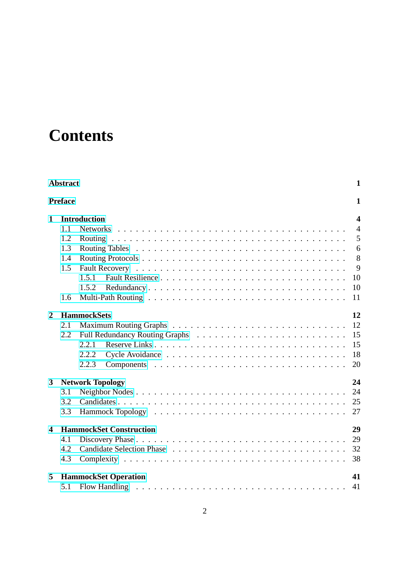# **Contents**

| <b>Abstract</b><br>$\mathbf{1}$ |                                   |                                      |                |  |  |  |  |  |  |
|---------------------------------|-----------------------------------|--------------------------------------|----------------|--|--|--|--|--|--|
|                                 | <b>Preface</b>                    |                                      | $\mathbf{1}$   |  |  |  |  |  |  |
| 1                               |                                   | <b>Introduction</b>                  | 4              |  |  |  |  |  |  |
|                                 | 1.1                               |                                      | $\overline{4}$ |  |  |  |  |  |  |
|                                 | 1.2                               |                                      | 5              |  |  |  |  |  |  |
|                                 | 1.3                               |                                      | 6              |  |  |  |  |  |  |
|                                 | 1.4                               |                                      | 8              |  |  |  |  |  |  |
|                                 | 1.5                               |                                      | $\mathbf{Q}$   |  |  |  |  |  |  |
|                                 |                                   | 10<br>1.5.1                          |                |  |  |  |  |  |  |
|                                 |                                   | 10<br>1.5.2                          |                |  |  |  |  |  |  |
|                                 | 1.6                               | 11                                   |                |  |  |  |  |  |  |
| $\overline{2}$                  | <b>HammockSets</b><br>12          |                                      |                |  |  |  |  |  |  |
|                                 | 2.1                               | 12                                   |                |  |  |  |  |  |  |
|                                 | 2.2                               | 15                                   |                |  |  |  |  |  |  |
|                                 |                                   | 15<br>2.2.1                          |                |  |  |  |  |  |  |
|                                 |                                   | 18<br>2.2.2                          |                |  |  |  |  |  |  |
|                                 |                                   | 2.2.3<br>20                          |                |  |  |  |  |  |  |
| 3                               | 24<br><b>Network Topology</b>     |                                      |                |  |  |  |  |  |  |
|                                 | 3.1                               | 24                                   |                |  |  |  |  |  |  |
|                                 | 3.2                               | 25                                   |                |  |  |  |  |  |  |
|                                 | 3.3                               | 27                                   |                |  |  |  |  |  |  |
| $\overline{\mathbf{4}}$         |                                   | 29<br><b>HammockSet Construction</b> |                |  |  |  |  |  |  |
|                                 | 4.1                               | 29                                   |                |  |  |  |  |  |  |
|                                 | 4.2                               | 32                                   |                |  |  |  |  |  |  |
|                                 | 4.3                               | 38                                   |                |  |  |  |  |  |  |
| 5                               | <b>HammockSet Operation</b><br>41 |                                      |                |  |  |  |  |  |  |
|                                 | 5.1                               | 41                                   |                |  |  |  |  |  |  |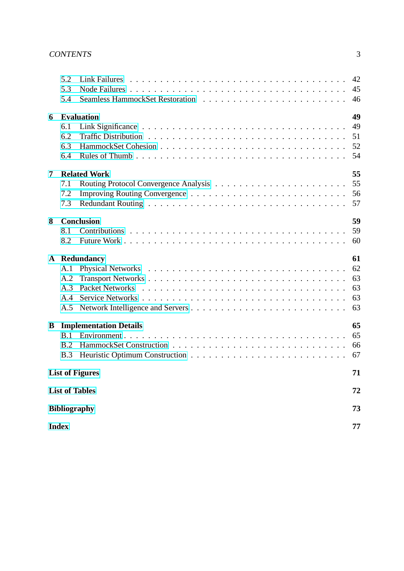|                        | 5.2<br>5.3<br>5.4               |                               | 42<br>45<br>46                   |  |  |  |  |  |  |
|------------------------|---------------------------------|-------------------------------|----------------------------------|--|--|--|--|--|--|
| 6                      | 6.1<br>6.2<br>6.3<br>6.4        | <b>Evaluation</b>             | 49<br>49<br>51<br>52<br>54       |  |  |  |  |  |  |
| 7                      | 7.1<br>7.2<br>7.3               | <b>Related Work</b>           | 55<br>55<br>56<br>57             |  |  |  |  |  |  |
| 8                      | 8.1<br>8.2                      | <b>Conclusion</b>             | 59<br>59<br>60                   |  |  |  |  |  |  |
|                        | A.1<br>A.2<br>A.3<br>A.4<br>A.5 | A Redundancy                  | 61<br>62<br>63<br>63<br>63<br>63 |  |  |  |  |  |  |
| B                      | B.1<br>B.2<br>B.3               | <b>Implementation Details</b> | 65<br>65<br>66<br>67             |  |  |  |  |  |  |
| <b>List of Figures</b> |                                 |                               |                                  |  |  |  |  |  |  |
| <b>List of Tables</b>  |                                 |                               |                                  |  |  |  |  |  |  |
| <b>Bibliography</b>    |                                 |                               |                                  |  |  |  |  |  |  |
| <b>Index</b>           |                                 |                               |                                  |  |  |  |  |  |  |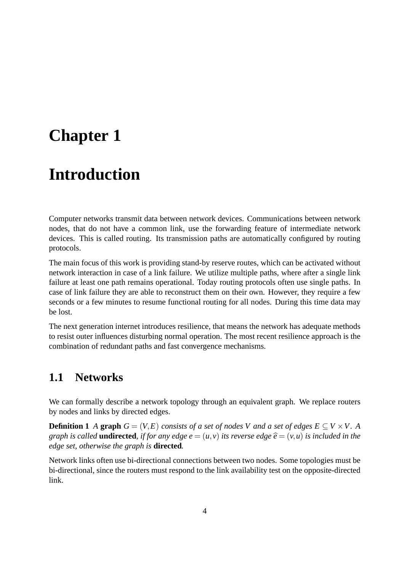# <span id="page-6-0"></span>**Chapter 1**

# **Introduction**

Computer networks transmit data between network devices. Communications between network nodes, that do not have a common link, use the forwarding feature of intermediate network devices. This is called routing. Its transmission paths are automatically configured by routing protocols.

The main focus of this work is providing stand-by reserve routes, which can be activated without network interaction in case of a link failure. We utilize multiple paths, where after a single link failure at least one path remains operational. Today routing protocols often use single paths. In case of link failure they are able to reconstruct them on their own. However, they require a few seconds or a few minutes to resume functional routing for all nodes. During this time data may be lost.

The next generation internet introduces resilience, that means the network has adequate methods to resist outer influences disturbing normal operation. The most recent resilience approach is the combination of redundant paths and fast convergence mechanisms.

## **1.1 Networks**

We can formally describe a network topology through an equivalent graph. We replace routers by nodes and links by directed edges.

**Definition 1** *A* **graph**  $G = (V, E)$  *consists of a set of nodes V and a set of edges*  $E \subseteq V \times V$ . A *graph is called* **undirected**, *if for any edge*  $e = (u, v)$  *its reverse edge*  $\hat{e} = (v, u)$  *is included in the edge set, otherwise the graph is* **directed***.*

Network links often use bi-directional connections between two nodes. Some topologies must be bi-directional, since the routers must respond to the link availability test on the opposite-directed link.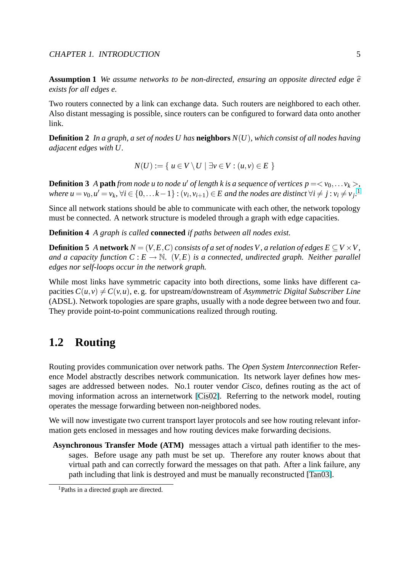<span id="page-7-0"></span>**Assumption 1** We assume networks to be non-directed, ensuring an opposite directed edge  $\hat{e}$ *exists for all edges e.*

Two routers connected by a link can exchange data. Such routers are neighbored to each other. Also distant messaging is possible, since routers can be configured to forward data onto another link.

**Definition 2** *In a graph, a set of nodes U has* **neighbors** *N*(*U*)*, which consist of all nodes having adjacent edges with U.*

$$
N(U) := \{ u \in V \setminus U \mid \exists v \in V : (u, v) \in E \}
$$

**Definition 3** A **path** from node *u* to node *u*<sup> $\prime$ </sup> of length *k* is a sequence of vertices  $p = \langle v_0, \ldots v_k \rangle$ , where  $u = v_0, u' = v_k, \forall i \in \{0, \ldots k-1\} : (v_i, v_{i+1}) \in E$  and the nodes are distinct  $\forall i \neq j : v_i \neq v_j$ .

Since all network stations should be able to communicate with each other, the network topology must be connected. A network structure is modeled through a graph with edge capacities.

**Definition 4** *A graph is called* **connected** *if paths between all nodes exist.*

**Definition 5** *A* **network**  $N = (V, E, C)$  *consists of a set of nodes V*, *a relation of edges*  $E \subseteq V \times V$ , *and a capacity function*  $C: E \to \mathbb{N}$ .  $(V, E)$  *is a connected, undirected graph. Neither parallel edges nor self-loops occur in the network graph.*

While most links have symmetric capacity into both directions, some links have different capacities  $C(u, v) \neq C(v, u)$ , e. g. for upstream/downstream of *Asymmetric Digital Subscriber Line* (ADSL). Network topologies are spare graphs, usually with a node degree between two and four. They provide point-to-point communications realized through routing.

# **1.2 Routing**

Routing provides communication over network paths. The *Open System Interconnection* Reference Model abstractly describes network communication. Its network layer defines how messages are addressed between nodes. No.1 router vendor *Cisco*, defines routing as the act of moving information across an internetwork [Cis02]. Referring to the network model, routing operates the message forwarding between non-neighbored nodes.

We will now investigate two current transport layer protocols and see how routing relevant information gets enclosed in messages and how ro[uting d](#page-76-0)evices make forwarding decisions.

**Asynchronous Transfer Mode (ATM)** messages attach a virtual path identifier to the messages. Before usage any path must be set up. Therefore any router knows about that virtual path and can correctly forward the messages on that path. After a link failure, any path including that link is destroyed and must be manually reconstructed [Tan03].

<sup>1</sup>Paths in a directed graph are directed.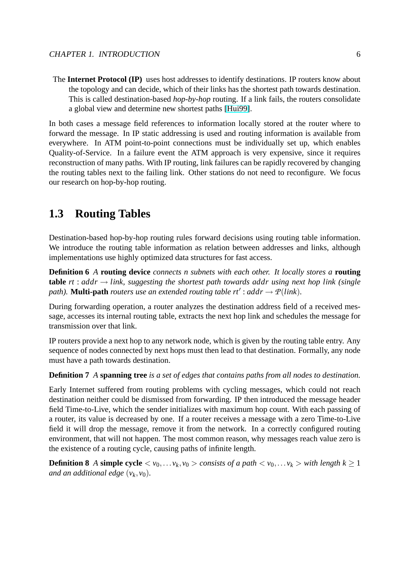<span id="page-8-0"></span>The **Internet Protocol (IP)** uses host addresses to identify destinations. IP routers know about the topology and can decide, which of their links has the shortest path towards destination. This is called destination-based *hop-by-hop* routing. If a link fails, the routers consolidate a global view and determine new shortest paths [Hui99].

In both cases a message field references to information locally stored at the router where to forward the message. In IP static addressing is used and routing information is available from everywhere. In ATM point-to-point connections mu[st be in](#page-77-0)dividually set up, which enables Quality-of-Service. In a failure event the ATM approach is very expensive, since it requires reconstruction of many paths. With IP routing, link failures can be rapidly recovered by changing the routing tables next to the failing link. Other stations do not need to reconfigure. We focus our research on hop-by-hop routing.

## **1.3 Routing Tables**

Destination-based hop-by-hop routing rules forward decisions using routing table information. We introduce the routing table information as relation between addresses and links, although implementations use highly optimized data structures for fast access.

**Definition 6** *A* **routing device** *connects n subnets with each other. It locally stores a* **routing table**  $rt$  :  $addr \rightarrow link$ , suggesting the shortest path towards addr using next hop link (single *path*). **Multi-path** *routers use an extended routing table*  $rt'$ :  $addr \rightarrow \mathcal{P}(link)$ .

During forwarding operation, a router analyzes the destination address field of a received message, accesses its internal routing table, extracts the next hop link and schedules the message for transmission over that link.

IP routers provide a next hop to any network node, which is given by the routing table entry. Any sequence of nodes connected by next hops must then lead to that destination. Formally, any node must have a path towards destination.

#### **Definition 7** *A* **spanning tree** *is a set of edges that contains paths from all nodes to destination.*

Early Internet suffered from routing problems with cycling messages, which could not reach destination neither could be dismissed from forwarding. IP then introduced the message header field Time-to-Live, which the sender initializes with maximum hop count. With each passing of a router, its value is decreased by one. If a router receives a message with a zero Time-to-Live field it will drop the message, remove it from the network. In a correctly configured routing environment, that will not happen. The most common reason, why messages reach value zero is the existence of a routing cycle, causing paths of infinite length.

**Definition 8** *A* **simple cycle**  $\langle v_0, \ldots v_k, v_0 \rangle$  *consists of a path*  $\langle v_0, \ldots v_k \rangle$  *with length*  $k \ge 1$ *and an additional edge*  $(v_k, v_0)$ *.*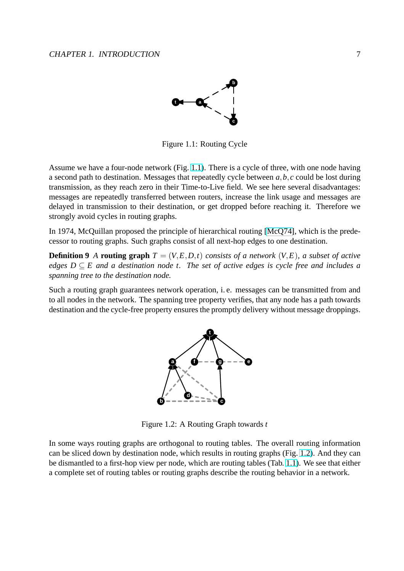

Figure 1.1: Routing Cycle

<span id="page-9-0"></span>Assume we have a four-node network (Fig. 1.1). There is a cycle of three, with one node having a second path to destination. Messages that repeatedly cycle between *a*,*b*, *c* could be lost during transmission, as they reach zero in their Time-to-Live field. We see here several disadvantages: messages are repeatedly transferred between routers, increase the link usage and messages are delayed in transmission to their destination, or get dropped before reaching it. Therefore we strongly avoid cycles in routing graphs.

In 1974, McQuillan proposed the principle of hierarchical routing [McQ74], which is the predecessor to routing graphs. Such graphs consist of all next-hop edges to one destination.

**Definition 9** *A* **routing graph**  $T = (V, E, D, t)$  *consists of a network*  $(V, E)$ *, a subset of active edges D* ⊆ *E and a destination node t. The set of active edges [is cycle](#page-77-0) free and includes a spanning tree to the destination node.*

Such a routing graph guarantees network operation, i. e. messages can be transmitted from and to all nodes in the network. The spanning tree property verifies, that any node has a path towards destination and the cycle-free property ensures the promptly delivery without message droppings.



Figure 1.2: A Routing Graph towards *t*

In some ways routing graphs are orthogonal to routing tables. The overall routing information can be sliced down by destination node, which results in routing graphs (Fig. 1.2). And they can be dismantled to a first-hop view per node, which are routing tables (Tab. 1.1). We see that either a complete set of routing tables or routing graphs describe the routing behavior in a network.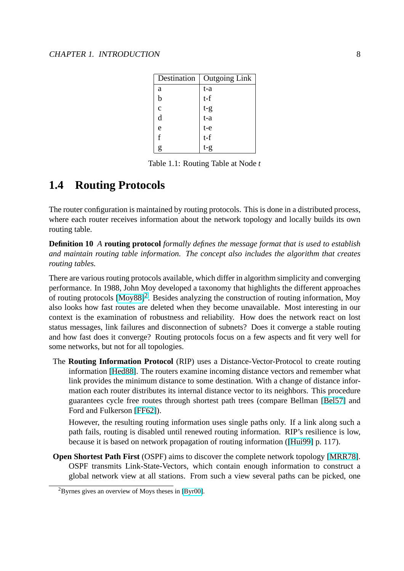| Destination  | <b>Outgoing Link</b> |
|--------------|----------------------|
| a            | t-a                  |
| b            | $t-f$                |
| $\mathbf{c}$ | $t-g$<br>$t-a$       |
| d            |                      |
| e            | $t-e$                |
| f            | $t-f$                |
| g            | $t-g$                |

Table 1.1: Routing Table at Node *t*

# <span id="page-10-0"></span>**1.4 Routing Protocols**

The router configuration is maintained by routing protocols. This is done in a distributed process, where each router receives information about the network topology and locally builds its own routing table.

**Definition 10** *A* **routing protocol** *formally defines the message format that is used to establish and maintain routing table information. The concept also includes the algorithm that creates routing tables.*

There are various routing protocols available, which differ in algorithm simplicity and converging performance. In 1988, John Moy developed a taxonomy that highlights the different approaches of routing protocols [Moy88]<sup>2</sup>. Besides analyzing the construction of routing information, Moy also looks how fast routes are deleted when they become unavailable. Most interesting in our context is the examination of robustness and reliability. How does the network react on lost status messages, link failures and disconnection of subnets? Does it converge a stable routing and how fast does it [converg](#page-77-0)e? Routing protocols focus on a few aspects and fit very well for some networks, but not for all topologies.

The **Routing Information Protocol** (RIP) uses a Distance-Vector-Protocol to create routing information [Hed88]. The routers examine incoming distance vectors and remember what link provides the minimum distance to some destination. With a change of distance information each router distributes its internal distance vector to its neighbors. This procedure guarantees c[ycle fre](#page-77-0)e routes through shortest path trees (compare Bellman [Bel57] and Ford and Fulkerson [FF62]).

However, the resulting routing information uses single paths only. If a link along such a path fails, routing is disabled until renewed routing information. RIP's resili[ence is](#page-76-0) low, because it is based o[n netw](#page-76-0)ork propagation of routing information ([Hui99] p. 117).

**Open Shortest Path First** (OSPF) aims to discover the complete network topology [MRR78]. OSPF transmits Link-State-Vectors, which contain enough information to construct a global network view at all stations. From such a view several pat[hs can](#page-77-0) be picked, one

<sup>2</sup>Byrnes gives an overview of Moys theses in [Byr00].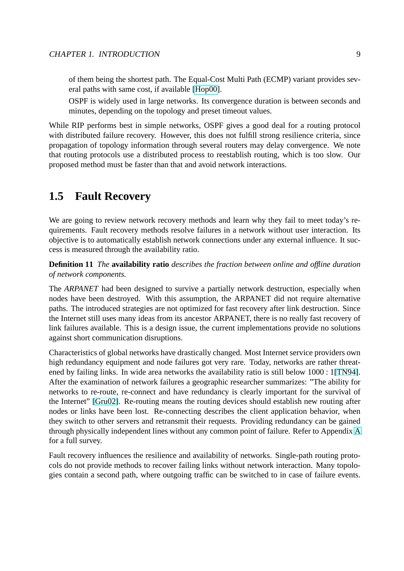<span id="page-11-0"></span>of them being the shortest path. The Equal-Cost Multi Path (ECMP) variant provides several paths with same cost, if available [Hop00].

OSPF is widely used in large networks. Its convergence duration is between seconds and minutes, depending on the topology and preset timeout values.

While RIP performs best in simple networ[ks, OSP](#page-77-0)F gives a good deal for a routing protocol with distributed failure recovery. However, this does not fulfill strong resilience criteria, since propagation of topology information through several routers may delay convergence. We note that routing protocols use a distributed process to reestablish routing, which is too slow. Our proposed method must be faster than that and avoid network interactions.

## **1.5 Fault Recovery**

We are going to review network recovery methods and learn why they fail to meet today's requirements. Fault recovery methods resolve failures in a network without user interaction. Its objective is to automatically establish network connections under any external influence. It success is measured through the availability ratio.

**Definition 11** *The* **availability ratio** *describes the fraction between online and offline duration of network components.*

The *ARPANET* had been designed to survive a partially network destruction, especially when nodes have been destroyed. With this assumption, the ARPANET did not require alternative paths. The introduced strategies are not optimized for fast recovery after link destruction. Since the Internet still uses many ideas from its ancestor ARPANET, there is no really fast recovery of link failures available. This is a design issue, the current implementations provide no solutions against short communication disruptions.

Characteristics of global networks have drastically changed. Most Internet service providers own high redundancy equipment and node failures got very rare. Today, networks are rather threatened by failing links. In wide area networks the availability ratio is still below 1000 : 1[TN94]. After the examination of network failures a geographic researcher summarizes: "The ability for networks to re-route, re-connect and have redundancy is clearly important for the survival of the Internet" [Gru02]. Re-routing means the routing devices should establish new routi[ng afte](#page-78-0)r nodes or links have been lost. Re-connecting describes the client application behavior, when they switch to other servers and retransmit their requests. Providing redundancy can be gained through physi[cally in](#page-76-0)dependent lines without any common point of failure. Refer to Appendix A for a full survey.

Fault recovery influences the resilience and availability of networks. Single-path routing protocols do not provide methods to recover failing links without network interaction. Many topol[o](#page-63-0)gies contain a second path, where outgoing traffic can be switched to in case of failure events.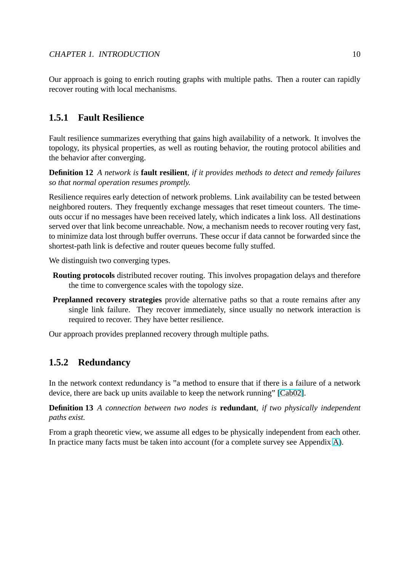<span id="page-12-0"></span>Our approach is going to enrich routing graphs with multiple paths. Then a router can rapidly recover routing with local mechanisms.

### **1.5.1 Fault Resilience**

Fault resilience summarizes everything that gains high availability of a network. It involves the topology, its physical properties, as well as routing behavior, the routing protocol abilities and the behavior after converging.

**Definition 12** *A network is* **fault resilient***, if it provides methods to detect and remedy failures so that normal operation resumes promptly.*

Resilience requires early detection of network problems. Link availability can be tested between neighbored routers. They frequently exchange messages that reset timeout counters. The timeouts occur if no messages have been received lately, which indicates a link loss. All destinations served over that link become unreachable. Now, a mechanism needs to recover routing very fast, to minimize data lost through buffer overruns. These occur if data cannot be forwarded since the shortest-path link is defective and router queues become fully stuffed.

We distinguish two converging types.

- **Routing protocols** distributed recover routing. This involves propagation delays and therefore the time to convergence scales with the topology size.
- **Preplanned recovery strategies** provide alternative paths so that a route remains after any single link failure. They recover immediately, since usually no network interaction is required to recover. They have better resilience.

Our approach provides preplanned recovery through multiple paths.

### **1.5.2 Redundancy**

In the network context redundancy is "a method to ensure that if there is a failure of a network device, there are back up units available to keep the network running" [Cab02].

**Definition 13** *A connection between two nodes is* **redundant***, if two physically independent paths exist.*

From a graph theoretic view, we assume all edges to be physically ind[ependen](#page-76-0)t from each other. In practice many facts must be taken into account (for a complete survey see Appendix A).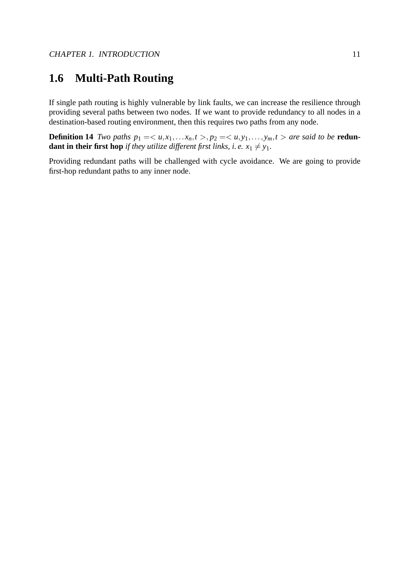# <span id="page-13-0"></span>**1.6 Multi-Path Routing**

If single path routing is highly vulnerable by link faults, we can increase the resilience through providing several paths between two nodes. If we want to provide redundancy to all nodes in a destination-based routing environment, then this requires two paths from any node.

**Definition 14** *Two paths*  $p_1 = \langle u, x_1, \ldots, x_n, t \rangle$ ,  $p_2 = \langle u, y_1, \ldots, y_m, t \rangle$  *are said to be* **redundant in their first hop** *if they utilize different first links, i.e.*  $x_1 \neq y_1$ .

Providing redundant paths will be challenged with cycle avoidance. We are going to provide first-hop redundant paths to any inner node.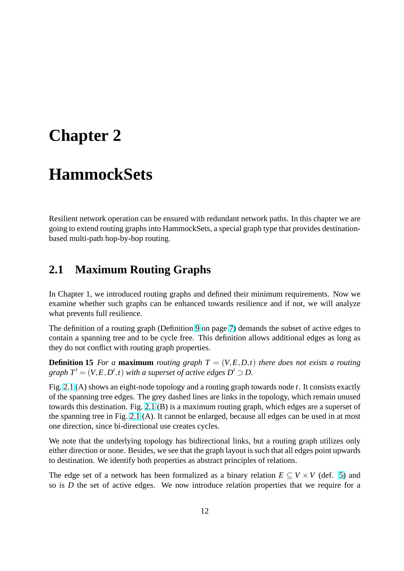# <span id="page-14-0"></span>**Chapter 2**

# **HammockSets**

Resilient network operation can be ensured with redundant network paths. In this chapter we are going to extend routing graphs into HammockSets, a special graph type that provides destinationbased multi-path hop-by-hop routing.

# **2.1 Maximum Routing Graphs**

In Chapter 1, we introduced routing graphs and defined their minimum requirements. Now we examine whether such graphs can be enhanced towards resilience and if not, we will analyze what prevents full resilience.

The definition of a routing graph (Definition 9 on page 7) demands the subset of active edges to contain a spanning tree and to be cycle free. This definition allows additional edges as long as they do not conflict with routing graph properties.

**Definition 15** For a **maximum** routing gra[ph](#page-9-0)  $T = (V, E, D, t)$  $T = (V, E, D, t)$  $T = (V, E, D, t)$  there does not exists a routing *graph*  $T' = (V, E, D', t)$  *with a superset of active edges*  $D' \supset D$ .

Fig. 2.1 (A) shows an eight-node topology and a routing graph towards node *t*. It consists exactly of the spanning tree edges. The grey dashed lines are links in the topology, which remain unused towards this destination. Fig. 2.1 (B) is a maximum routing graph, which edges are a superset of the [span](#page-15-0)ning tree in Fig. 2.1 (A). It cannot be enlarged, because all edges can be used in at most one direction, since bi-directional use creates cycles.

We note that the underlying [topo](#page-15-0)logy has bidirectional links, but a routing graph utilizes only either direction or none. [Besi](#page-15-0)des, we see that the graph layout is such that all edges point upwards to destination. We identify both properties as abstract principles of relations.

The edge set of a network has been formalized as a binary relation  $E \subseteq V \times V$  (def. 5) and so is *D* the set of active edges. We now introduce relation properties that we require for a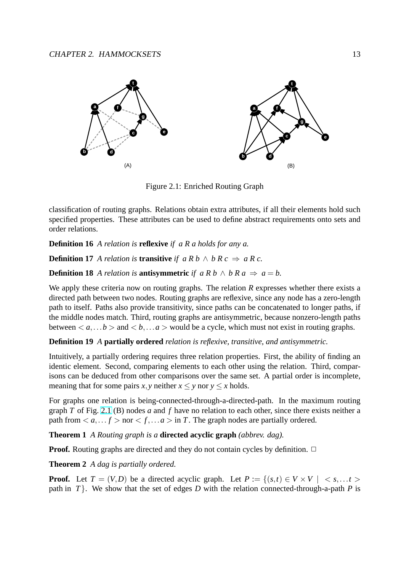<span id="page-15-0"></span>

Figure 2.1: Enriched Routing Graph

classification of routing graphs. Relations obtain extra attributes, if all their elements hold such specified properties. These attributes can be used to define abstract requirements onto sets and order relations.

**Definition 16** *A relation is* **reflexive** *if a R a holds for any a.*

**Definition 17** *A relation is* **transitive** *if*  $a R b \wedge b R c \Rightarrow a R c$ .

**Definition 18** *A relation is* **antisymmetric** *if*  $a R b \wedge b R a \Rightarrow a = b$ .

We apply these criteria now on routing graphs. The relation *R* expresses whether there exists a directed path between two nodes. Routing graphs are reflexive, since any node has a zero-length path to itself. Paths also provide transitivity, since paths can be concatenated to longer paths, if the middle nodes match. Third, routing graphs are antisymmetric, because nonzero-length paths between  $\langle a, \ldots b \rangle$  and  $\langle b, \ldots a \rangle$  would be a cycle, which must not exist in routing graphs.

#### **Definition 19** *A* **partially ordered** *relation is reflexive, transitive, and antisymmetric.*

Intuitively, a partially ordering requires three relation properties. First, the ability of finding an identic element. Second, comparing elements to each other using the relation. Third, comparisons can be deduced from other comparisons over the same set. A partial order is incomplete, meaning that for some pairs *x*, *y* neither  $x \le y$  nor  $y \le x$  holds.

For graphs one relation is being-connected-through-a-directed-path. In the maximum routing graph *T* of Fig. 2.1 (B) nodes *a* and *f* have no relation to each other, since there exists neither a path from  $\langle a, \ldots f \rangle$  nor  $\langle f, \ldots a \rangle$  in *T*. The graph nodes are partially ordered.

**Theorem 1** *A Routing graph is a* **directed acyclic graph** *(abbrev. dag).*

**Proof.** Routing graphs are directed and they do not contain cycles by definition.  $\Box$ 

**Theorem 2** *A dag is partially ordered.*

**Proof.** Let  $T = (V, D)$  be a directed acyclic graph. Let  $P := \{(s,t) \in V \times V \mid s, \ldots t \geq 0\}$ path in  $T$ . We show that the set of edges *D* with the relation connected-through-a-path *P* is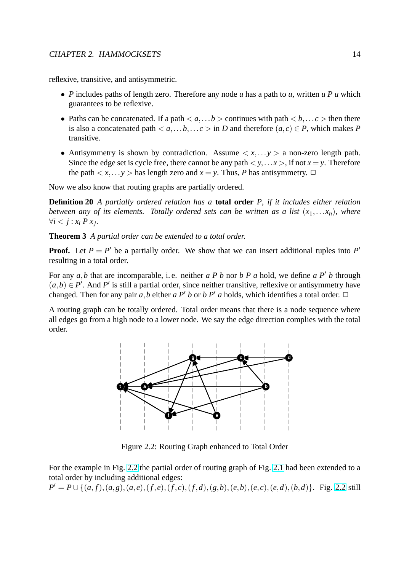<span id="page-16-0"></span>reflexive, transitive, and antisymmetric.

- *P* includes paths of length zero. Therefore any node *u* has a path to *u*, written *u P u* which guarantees to be reflexive.
- Paths can be concatenated. If a path  $\langle a, \ldots b \rangle$  continues with path  $\langle b, \ldots c \rangle$  then there is also a concatenated path  $\langle a, a, \ldots, b, \ldots, c \rangle$  in *D* and therefore  $(a, c) \in P$ , which makes *P* transitive.
- Antisymmetry is shown by contradiction. Assume  $\langle x, \ldots y \rangle$  a non-zero length path. Since the edge set is cycle free, there cannot be any path  $\langle y, \ldots, x \rangle$ , if not  $x = y$ . Therefore the path  $\langle x, \ldots y \rangle$  has length zero and  $x = y$ . Thus, *P* has antisymmetry.  $\Box$

Now we also know that routing graphs are partially ordered.

**Definition 20** *A partially ordered relation has a* **total order** *P, if it includes either relation between any of its elements. Totally ordered sets can be written as a list*  $(x_1,...,x_n)$ *, where*  $∀i < j : x_i P x_j.$ 

**Theorem 3** *A partial order can be extended to a total order.*

**Proof.** Let  $P = P'$  be a partially order. We show that we can insert additional tuples into  $P'$ resulting in a total order.

For any  $a, b$  that are incomparable, i.e. neither  $a P b$  nor  $b P a$  hold, we define  $a P' b$  through  $(a,b) \in P'$ . And P' is still a partial order, since neither transitive, reflexive or antisymmetry have changed. Then for any pair *a*,*b* either *a* P<sup>'</sup> *b* or *b* P<sup>'</sup> *a* holds, which identifies a total order.  $\Box$ 

A routing graph can be totally ordered. Total order means that there is a node sequence where all edges go from a high node to a lower node. We say the edge direction complies with the total order.



Figure 2.2: Routing Graph enhanced to Total Order

For the example in Fig. 2.2 the partial order of routing graph of Fig. 2.1 had been extended to a total order by including additional edges:

$$
P' = P \cup \{(a, f), (a, g), (a, e), (f, e), (f, c), (f, d), (g, b), (e, b), (e, c), (e, d), (b, d)\}.
$$
 Fig. 2.2 still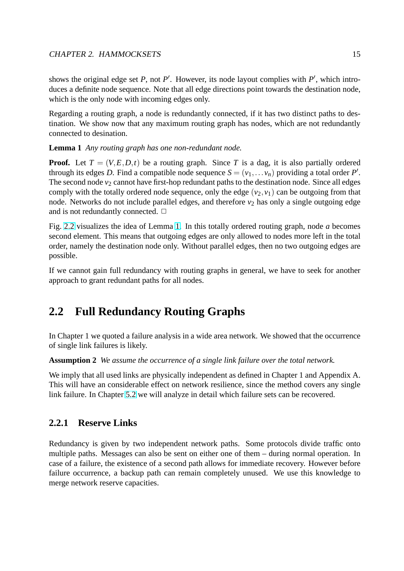<span id="page-17-0"></span>shows the original edge set  $P$ , not  $P'$ . However, its node layout complies with  $P'$ , which introduces a definite node sequence. Note that all edge directions point towards the destination node, which is the only node with incoming edges only.

Regarding a routing graph, a node is redundantly connected, if it has two distinct paths to destination. We show now that any maximum routing graph has nodes, which are not redundantly connected to desination.

**Lemma 1** *Any routing graph has one non-redundant node.*

**Proof.** Let  $T = (V, E, D, t)$  be a routing graph. Since T is a dag, it is also partially ordered through its edges *D*. Find a compatible node sequence  $S = (v_1, \ldots, v_n)$  providing a total order *P'*. The second node  $v_2$  cannot have first-hop redundant paths to the destination node. Since all edges comply with the totally ordered node sequence, only the edge  $(v_2, v_1)$  can be outgoing from that node. Networks do not include parallel edges, and therefore  $v_2$  has only a single outgoing edge and is not redundantly connected.  $\Box$ 

Fig. 2.2 visualizes the idea of Lemma 1. In this totally ordered routing graph, node *a* becomes second element. This means that outgoing edges are only allowed to nodes more left in the total order, namely the destination node only. Without parallel edges, then no two outgoing edges are pos[sible](#page-16-0).

If we cannot gain full redundancy with routing graphs in general, we have to seek for another approach to grant redundant paths for all nodes.

# **2.2 Full Redundancy Routing Graphs**

In Chapter 1 we quoted a failure analysis in a wide area network. We showed that the occurrence of single link failures is likely.

**Assumption 2** *We assume the occurrence of a single link failure over the total network.*

We imply that all used links are physically independent as defined in Chapter 1 and Appendix A. This will have an considerable effect on network resilience, since the method covers any single link failure. In Chapter 5.2 we will analyze in detail which failure sets can be recovered.

### **2.2.1 Reserve Li[nks](#page-44-0)**

Redundancy is given by two independent network paths. Some protocols divide traffic onto multiple paths. Messages can also be sent on either one of them – during normal operation. In case of a failure, the existence of a second path allows for immediate recovery. However before failure occurrence, a backup path can remain completely unused. We use this knowledge to merge network reserve capacities.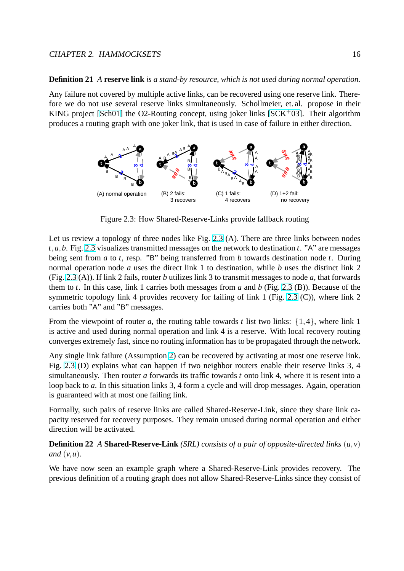#### **Definition 21** *A* **reserve link** *is a stand-by resource, which is not used during normal operation.*

Any failure not covered by multiple active links, can be recovered using one reserve link. Therefore we do not use several reserve links simultaneously. Schollmeier, et. al. propose in their KING project [Sch01] the O2-Routing concept, using joker links  $[SCK<sup>+</sup>03]$ . Their algorithm produces a routing graph with one joker link, that is used in case of failure in either direction.



Figure 2.3: How Shared-Reserve-Links provide fallback routing

Let us review a topology of three nodes like Fig. 2.3 (A). There are three links between nodes *t*,*a*,*b*. Fig. 2.3 visualizes transmitted messages on the network to destination *t*. "A" are messages being sent from *a* to *t*, resp. "B" being transferred from *b* towards destination node *t*. During normal operation node *a* uses the direct link 1 to destination, while *b* uses the distinct link 2 (Fig. 2.3 (A)). If link 2 fails, router *b* utilizes link 3 to transmit messages to node *a*, that forwards them to *t*. In this case, link 1 carries both messages from *a* and *b* (Fig. 2.3 (B)). Because of the symmetric topology link 4 provides recovery for failing of link 1 (Fig. 2.3 (C)), where link 2 carries both "A" and "B" messages.

From the viewpoint of router *a*, the routing table towards *t* list two links:  $\{1,4\}$ , where link 1 is active and used during normal operation and link 4 is a reserve. With local recovery routing converges extremely fast, since no routing information has to be propagated through the network.

Any single link failure (Assumption 2) can be recovered by activating at most one reserve link. Fig. 2.3 (D) explains what can happen if two neighbor routers enable their reserve links 3, 4 simultaneously. Then router *a* forwards its traffic towards *t* onto link 4, where it is resent into a loop back to *a*. In this situation links [3,](#page-17-0) 4 form a cycle and will drop messages. Again, operation is guaranteed with at most one failing link.

Formally, such pairs of reserve links are called Shared-Reserve-Link, since they share link capacity reserved for recovery purposes. They remain unused during normal operation and either direction will be activated.

#### **Definition 22** *A* **Shared-Reserve-Link** *(SRL) consists of a pair of opposite-directed links* (*u*, *v*) *and* (*v*,*u*)*.*

We have now seen an example graph where a Shared-Reserve-Link provides recovery. The previous definition of a routing graph does not allow Shared-Reserve-Links since they consist of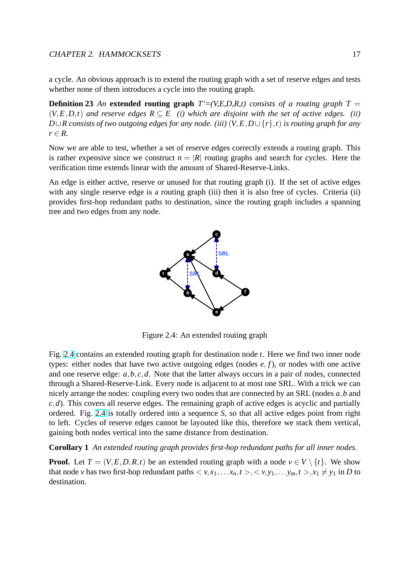a cycle. An obvious approach is to extend the routing graph with a set of reserve edges and tests whether none of them introduces a cycle into the routing graph.

**Definition 23** An **extended routing graph**  $T'=(V,E,D,R,t)$  consists of a routing graph  $T =$  $(V, E, D, t)$  *and reserve edges*  $R \subseteq E$  *(i) which are disjoint with the set of active edges. (ii) D*∪*R consists of two outgoing edges for any node. (iii)* (*V*,*E*,*D*∪ {*r*},*t*) *is routing graph for any*  $r \in R$ .

Now we are able to test, whether a set of reserve edges correctly extends a routing graph. This is rather expensive since we construct  $n = |R|$  routing graphs and search for cycles. Here the verification time extends linear with the amount of Shared-Reserve-Links.

An edge is either active, reserve or unused for that routing graph (i). If the set of active edges with any single reserve edge is a routing graph (iii) then it is also free of cycles. Criteria (ii) provides first-hop redundant paths to destination, since the routing graph includes a spanning tree and two edges from any node.



Figure 2.4: An extended routing graph

Fig. 2.4 contains an extended routing graph for destination node *t*. Here we find two inner node types: either nodes that have two active outgoing edges (nodes *e*, *f*), or nodes with one active and one reserve edge: *a*,*b*, *c*,*d*. Note that the latter always occurs in a pair of nodes, connected through a Shared-Reserve-Link. Every node is adjacent to at most one SRL. With a trick we can nicely arrange the nodes: coupling every two nodes that are connected by an SRL (nodes *a*,*b* and  $c$ ,*d*). This covers all reserve edges. The remaining graph of active edges is acyclic and partially ordered. Fig. 2.4 is totally ordered into a sequence *S*, so that all active edges point from right to left. Cycles of reserve edges cannot be layouted like this, therefore we stack them vertical, gaining both nodes vertical into the same distance from destination.

#### **Corollary 1** *An extended routing graph provides first-hop redundant paths for all inner nodes.*

**Proof.** Let  $T = (V, E, D, R, t)$  be an extended routing graph with a node  $v \in V \setminus \{t\}$ . We show that node *v* has two first-hop redundant paths  $\langle v, x_1, \ldots, x_n, t \rangle, \langle v, y_1, \ldots, y_m, t \rangle, x_1 \neq y_1$  in *D* to destination.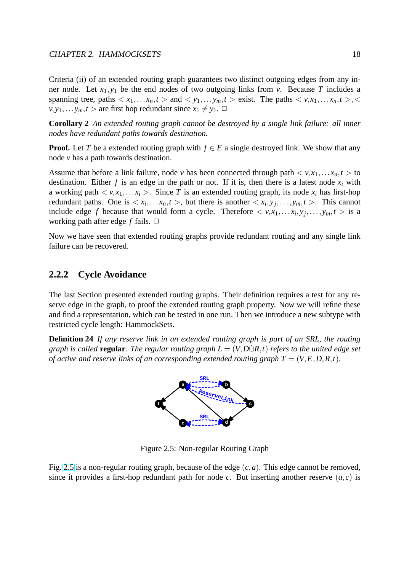<span id="page-20-0"></span>Criteria (ii) of an extended routing graph guarantees two distinct outgoing edges from any in-

ner node. Let  $x_1, y_1$  be the end nodes of two outgoing links from *v*. Because *T* includes a spanning tree, paths  $\langle x_1, \ldots, x_n, t \rangle$  and  $\langle y_1, \ldots, y_m, t \rangle$  exist. The paths  $\langle v, x_1, \ldots, x_n, t \rangle$ ,  $v, y_1, \ldots, y_m, t >$  are first hop redundant since  $x_1 \neq y_1$ .  $\Box$ 

**Corollary 2** *An extended routing graph cannot be destroyed by a single link failure: all inner nodes have redundant paths towards destination.*

**Proof.** Let *T* be a extended routing graph with  $f \in E$  a single destroyed link. We show that any node *v* has a path towards destination.

Assume that before a link failure, node *v* has been connected through path  $\langle v, x_1, \ldots, x_n, t \rangle$  to destination. Either  $f$  is an edge in the path or not. If it is, then there is a latest node  $x_i$  with a working path  $\langle v, x_1, \ldots, x_i \rangle$ . Since T is an extended routing graph, its node  $x_i$  has first-hop redundant paths. One is  $\langle x_i, \ldots, x_n, t \rangle$ , but there is another  $\langle x_i, y_j, \ldots, y_m, t \rangle$ . This cannot include edge *f* because that would form a cycle. Therefore  $\langle v, x_1, \dots, x_i, y_j, \dots, y_m, t \rangle$  is a working path after edge  $f$  fails.  $\Box$ 

Now we have seen that extended routing graphs provide redundant routing and any single link failure can be recovered.

#### **2.2.2 Cycle Avoidance**

The last Section presented extended routing graphs. Their definition requires a test for any reserve edge in the graph, to proof the extended routing graph property. Now we will refine these and find a representation, which can be tested in one run. Then we introduce a new subtype with restricted cycle length: HammockSets.

**Definition 24** *If any reserve link in an extended routing graph is part of an SRL, the routing graph is called* **regular***. The regular routing graph*  $L = (V, D \cup R, t)$  *refers to the united edge set of active and reserve links of an corresponding extended routing graph*  $T = (V, E, D, R, t)$ .



Figure 2.5: Non-regular Routing Graph

Fig. 2.5 is a non-regular routing graph, because of the edge  $(c, a)$ . This edge cannot be removed, since it provides a first-hop redundant path for node *c*. But inserting another reserve  $(a, c)$  is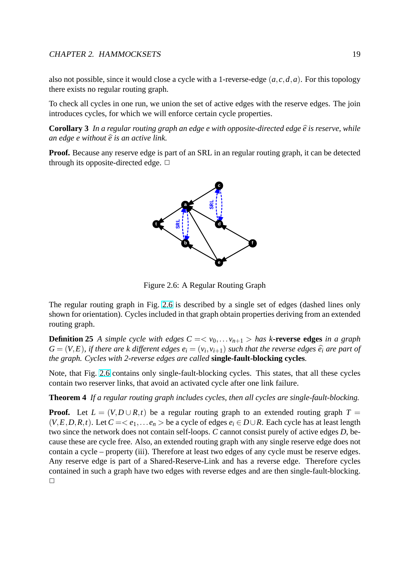<span id="page-21-0"></span>also not possible, since it would close a cycle with a 1-reverse-edge (*a*, *c*,*d*,*a*). For this topology there exists no regular routing graph.

To check all cycles in one run, we union the set of active edges with the reserve edges. The join introduces cycles, for which we will enforce certain cycle properties.

**Corollary 3** In a regular routing graph an edge  $e$  with opposite-directed edge  $\hat{e}$  is reserve, while *an edge e without*  $\hat{e}$  *is an active link.* 

**Proof.** Because any reserve edge is part of an SRL in an regular routing graph, it can be detected through its opposite-directed edge.  $\Box$ 



Figure 2.6: A Regular Routing Graph

The regular routing graph in Fig. 2.6 is described by a single set of edges (dashed lines only shown for orientation). Cycles included in that graph obtain properties deriving from an extended routing graph.

**Definition 25** *A simple cycle with edges*  $C = \langle v_0, \ldots, v_{n+1} \rangle$  *has k***-reverse edges** *in a graph*  $G = (V, E)$ , if there are *k* different edges  $e_i = (v_i, v_{i+1})$  such that the reverse edges  $\widehat{e_i}$  are part of *the graph. Cycles with 2-reverse edges are called* **single-fault-blocking cycles***.*

Note, that Fig. 2.6 contains only single-fault-blocking cycles. This states, that all these cycles contain two reserver links, that avoid an activated cycle after one link failure.

**Theorem 4** *If a regular routing graph includes cycles, then all cycles are single-fault-blocking.*

**Proof.** Let  $L = (V, D \cup R, t)$  be a regular routing graph to an extended routing graph  $T =$  $(V, E, D, R, t)$ . Let  $C = \langle e_1, \ldots e_n \rangle$  be a cycle of edges  $e_i \in D \cup R$ . Each cycle has at least length two since the network does not contain self-loops. *C* cannot consist purely of active edges *D*, because these are cycle free. Also, an extended routing graph with any single reserve edge does not contain a cycle – property (iii). Therefore at least two edges of any cycle must be reserve edges. Any reserve edge is part of a Shared-Reserve-Link and has a reverse edge. Therefore cycles contained in such a graph have two edges with reverse edges and are then single-fault-blocking.  $\Box$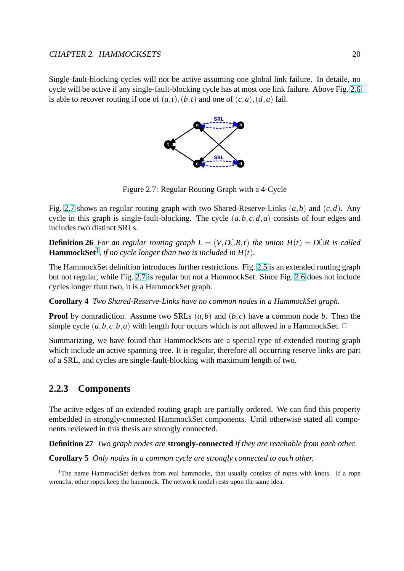<span id="page-22-0"></span>Single-fault-blocking cycles will not be active assuming one global link failure. In detaile, no cycle will be active if any single-fault-blocking cycle has at most one link failure. Above Fig. 2.6 is able to recover routing if one of  $(a,t)$ ,  $(b,t)$  and one of  $(c,a)$ ,  $(d,a)$  fail.



Figure 2.7: Regular Routing Graph with a 4-Cycle

Fig. 2.7 shows an regular routing graph with two Shared-Reserve-Links (*a*,*b*) and (*c*,*d*). Any cycle in this graph is single-fault-blocking. The cycle (*a*,*b*, *c*,*d*,*a*) consists of four edges and includes two distinct SRLs.

**Definition 26** For an regular routing graph  $L = (V, D \cup R, t)$  the union  $H(t) = D \cup R$  is called **HammockSet**<sup>1</sup>, if no cycle longer than two is included in  $H(t)$ .

The HammockSet definition introduces further restrictions. Fig. 2.5 is an extended routing graph but not regular, while Fig. 2.7 is regular but not a HammockSet. Since Fig. 2.6 does not include cycles longer than two, it is a HammockSet graph.

**Corollary 4** *Two Shared-Reserve-Links have no common node[s in a](#page-20-0) HammockSet graph.*

**Proof** by contradiction. Assume two SRLs (*a*,*b*) and (*b*, *c*) have a comm[on n](#page-21-0)ode *b*. Then the simple cycle  $(a, b, c, b, a)$  with length four occurs which is not allowed in a HammockSet.  $\Box$ 

Summarizing, we have found that HammockSets are a special type of extended routing graph which include an active spanning tree. It is regular, therefore all occurring reserve links are part of a SRL, and cycles are single-fault-blocking with maximum length of two.

#### **2.2.3 Components**

The active edges of an extended routing graph are partially ordered. We can find this property embedded in strongly-connected HammockSet components. Until otherwise stated all components reviewed in this thesis are strongly connected.

**Definition 27** *Two graph nodes are* **strongly-connected** *if they are reachable from each other.*

**Corollary 5** *Only nodes in a common cycle are strongly connected to each other.*

<sup>&</sup>lt;sup>1</sup>The name HammockSet derives from real hammocks, that usually consists of ropes with knots. If a rope wrenchs, other ropes keep the hammock. The network model rests upon the same idea.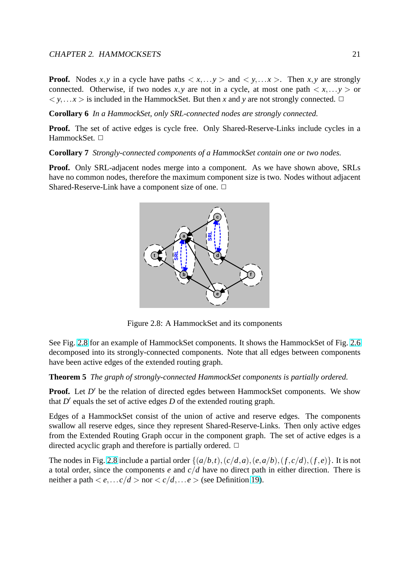<span id="page-23-0"></span>**Proof.** Nodes *x*, *y* in a cycle have paths  $\langle x, \ldots, y \rangle$  and  $\langle y, \ldots, x \rangle$ . Then *x*, *y* are strongly connected. Otherwise, if two nodes  $x, y$  are not in a cycle, at most one path  $\langle x, \ldots y \rangle$  or  $\langle y, \ldots, x \rangle$  is included in the HammockSet. But then *x* and *y* are not strongly connected.  $\Box$ 

**Corollary 6** *In a HammockSet, only SRL-connected nodes are strongly connected.*

**Proof.** The set of active edges is cycle free. Only Shared-Reserve-Links include cycles in a HammockSet.  $\Box$ 

**Corollary 7** *Strongly-connected components of a HammockSet contain one or two nodes.*

**Proof.** Only SRL-adjacent nodes merge into a component. As we have shown above, SRLs have no common nodes, therefore the maximum component size is two. Nodes without adjacent Shared-Reserve-Link have a component size of one.  $\Box$ 



Figure 2.8: A HammockSet and its components

See Fig. 2.8 for an example of HammockSet components. It shows the HammockSet of Fig. 2.6 decomposed into its strongly-connected components. Note that all edges between components have been active edges of the extended routing graph.

**Theorem 5** *The graph of strongly-connected HammockSet components is partially ordered.*

Proof. Let D' be the relation of directed egdes between HammockSet components. We show that  $D'$  equals the set of active edges  $D$  of the extended routing graph.

Edges of a HammockSet consist of the union of active and reserve edges. The components swallow all reserve edges, since they represent Shared-Reserve-Links. Then only active edges from the Extended Routing Graph occur in the component graph. The set of active edges is a directed acyclic graph and therefore is partially ordered.  $\Box$ 

The nodes in Fig. 2.8 include a partial order  $\{(a/b,t), (c/d,a), (e,a/b), (f,c/d), (f,e)\}$ . It is not a total order, since the components *e* and *c*/*d* have no direct path in either direction. There is neither a path  $\langle e_1...c/d \rangle$  nor  $\langle c/d,...e \rangle$  (see Definition 19).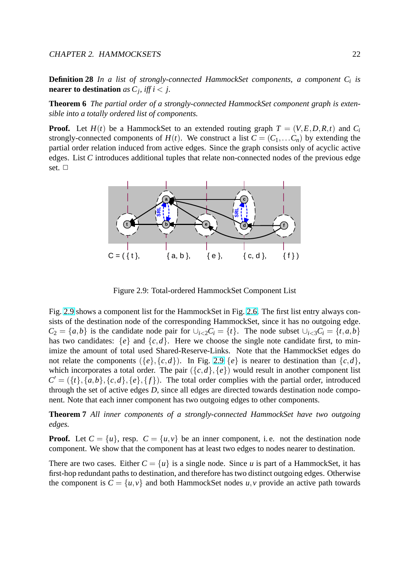<span id="page-24-0"></span>**Definition 28** *In a list of strongly-connected HammockSet components, a component C<sup>i</sup> is* **nearer to destination** as  $C_j$ , iff  $i < j$ .

**Theorem 6** *The partial order of a strongly-connected HammockSet component graph is extensible into a totally ordered list of components.*

**Proof.** Let  $H(t)$  be a HammockSet to an extended routing graph  $T = (V, E, D, R, t)$  and  $C_i$ strongly-connected components of  $H(t)$ . We construct a list  $C = (C_1, \ldots, C_n)$  by extending the partial order relation induced from active edges. Since the graph consists only of acyclic active edges. List *C* introduces additional tuples that relate non-connected nodes of the previous edge set.  $\Box$ 



Figure 2.9: Total-ordered HammockSet Component List

Fig. 2.9 shows a component list for the HammockSet in Fig. 2.6. The first list entry always consists of the destination node of the corresponding HammockSet, since it has no outgoing edge.  $C_2 = \{a,b\}$  is the candidate node pair for  $\bigcup_{i<2} C_i = \{t\}$ . The node subset  $\bigcup_{i<3} C_i = \{t,a,b\}$ has two candidates:  $\{e\}$  and  $\{c,d\}$ . Here we choose the [sing](#page-21-0)le note candidate first, to minimize the amount of total used Shared-Reserve-Links. Note that the HammockSet edges do not relate the components  $({e}, {c}, d)$ . In Fig. 2.9  ${e}$  is nearer to destination than  ${c}, d$ , which incorporates a total order. The pair  $({c, d}, {e})$  would result in another component list  $C' = (\{t\}, \{a, b\}, \{c, d\}, \{e\}, \{f\})$ . The total order complies with the partial order, introduced through the set of active edges *D*, since all edges are directed towards destination node component. Note that each inner component has two outgoing edges to other components.

**Theorem 7** *All inner components of a strongly-connected HammockSet have two outgoing edges.*

**Proof.** Let  $C = \{u\}$ , resp.  $C = \{u, v\}$  be an inner component, i.e. not the destination node component. We show that the component has at least two edges to nodes nearer to destination.

There are two cases. Either  $C = \{u\}$  is a single node. Since *u* is part of a HammockSet, it has first-hop redundant paths to destination, and therefore has two distinct outgoing edges. Otherwise the component is  $C = \{u, v\}$  and both HammockSet nodes  $u, v$  provide an active path towards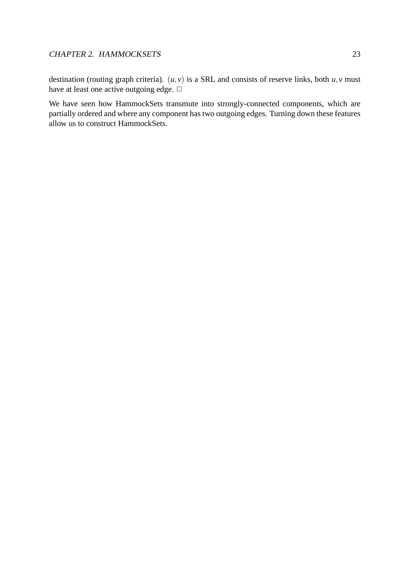destination (routing graph criteria).  $(u, v)$  is a SRL and consists of reserve links, both  $u, v$  must have at least one active outgoing edge.  $\Box$ 

We have seen how HammockSets transmute into strongly-connected components, which are partially ordered and where any component has two outgoing edges. Turning down these features allow us to construct HammockSets.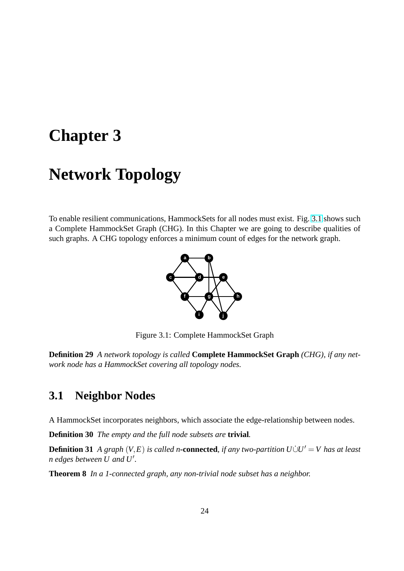# <span id="page-26-0"></span>**Chapter 3**

# **Network Topology**

To enable resilient communications, HammockSets for all nodes must exist. Fig. 3.1 shows such a Complete HammockSet Graph (CHG). In this Chapter we are going to describe qualities of such graphs. A CHG topology enforces a minimum count of edges for the network graph.



Figure 3.1: Complete HammockSet Graph

**Definition 29** *A network topology is called* **Complete HammockSet Graph** *(CHG), if any network node has a HammockSet covering all topology nodes.*

## **3.1 Neighbor Nodes**

A HammockSet incorporates neighbors, which associate the edge-relationship between nodes.

**Definition 30** *The empty and the full node subsets are* **trivial***.*

**Definition 31** *A graph*  $(V, E)$  *is called n***-connected**, *if any two-partition*  $U\dot{\cup}U' = V$  *has at least n* edges between  $U$  and  $U'$ .

**Theorem 8** *In a 1-connected graph, any non-trivial node subset has a neighbor.*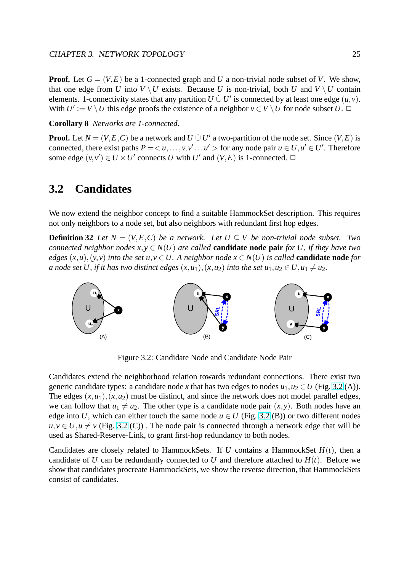<span id="page-27-0"></span>**Proof.** Let  $G = (V, E)$  be a 1-connected graph and *U* a non-trivial node subset of *V*. We show, that one edge from *U* into  $V \setminus U$  exists. Because *U* is non-trivial, both *U* and  $V \setminus U$  contain elements. 1-connectivity states that any partition  $U \cup U'$  is connected by at least one edge  $(u, v)$ . With  $U' := V \setminus U$  this edge proofs the existence of a neighbor  $v \in V \setminus U$  for node subset  $U$ .

**Corollary 8** *Networks are 1-connected.*

**Proof.** Let  $N = (V, E, C)$  be a network and  $U \cup U'$  a two-partition of the node set. Since  $(V, E)$  is connected, there exist paths  $P = \langle u, \ldots, v, v' \ldots u' \rangle$  for any node pair  $u \in U, u' \in U'$ . Therefore some edge  $(v, v') \in U \times U'$  connects *U* with *U'* and  $(V, E)$  is 1-connected.  $\Box$ 

### **3.2 Candidates**

We now extend the neighbor concept to find a suitable HammockSet description. This requires not only neighbors to a node set, but also neighbors with redundant first hop edges.

**Definition 32** *Let*  $N = (V, E, C)$  *be a network. Let*  $U \subseteq V$  *be non-trivial node subset. Two connected neighbor nodes*  $x, y \in N(U)$  *are called* **candidate node pair** *for U, if they have two edges*  $(x, u)$ ,  $(y, v)$  *into the set*  $u, v \in U$ . A neighbor node  $x \in N(U)$  *is called* **candidate node** *for a* node set *U*, if it has two distinct edges  $(x, u_1)$ ,  $(x, u_2)$  into the set  $u_1, u_2 \in U, u_1 \neq u_2$ .



Figure 3.2: Candidate Node and Candidate Node Pair

Candidates extend the neighborhood relation towards redundant connections. There exist two generic candidate types: a candidate node *x* that has two edges to nodes  $u_1, u_2 \in U$  (Fig. 3.2 (A)). The edges  $(x, u_1)$ ,  $(x, u_2)$  must be distinct, and since the network does not model parallel edges, we can follow that  $u_1 \neq u_2$ . The other type is a candidate node pair  $(x, y)$ . Both nodes have an edge into *U*, which can either touch the same node  $u \in U$  (Fig. 3.2 (B)) or two different nodes  $u, v \in U, u \neq v$  (Fig. 3.2 (C)). The node pair is connected through a network edge that will be used as Shared-Reserve-Link, to grant first-hop redundancy to both nodes.

Candidates are closely related to HammockSets. If *U* contains a HammockSet  $H(t)$ , then a candidate of *U* can be redundantly connected to *U* and therefore attached to  $H(t)$ . Before we show that candidates procreate HammockSets, we show the reverse direction, that HammockSets consist of candidates.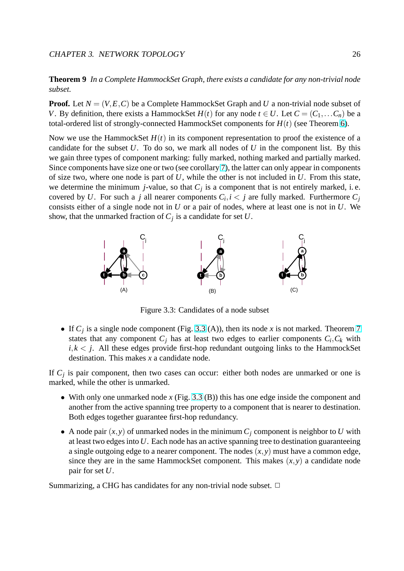<span id="page-28-0"></span>**Theorem 9** *In a Complete HammockSet Graph, there exists a candidate for any non-trivial node subset.*

**Proof.** Let  $N = (V, E, C)$  be a Complete HammockSet Graph and U a non-trivial node subset of *V*. By definition, there exists a HammockSet  $H(t)$  for any node  $t \in U$ . Let  $C = (C_1, \ldots, C_n)$  be a total-ordered list of strongly-connected HammockSet components for *H*(*t*) (see Theorem 6).

Now we use the HammockSet  $H(t)$  in its component representation to proof the existence of a candidate for the subset *U*. To do so, we mark all nodes of *U* in the component list. By this we gain three types of component marking: fully marked, nothing marked and partially [mar](#page-24-0)ked. Since components have size one or two (see corollary 7), the latter can only appear in components of size two, where one node is part of *U*, while the other is not included in *U*. From this state, we determine the minimum *j*-value, so that  $C_j$  is a component that is not entirely marked, i.e. covered by U. For such a *j* all nearer components  $C_i$  $C_i$ ,  $i < j$  are fully marked. Furthermore  $C_j$ consists either of a single node not in *U* or a pair of nodes, where at least one is not in *U*. We show, that the unmarked fraction of *C<sup>j</sup>* is a candidate for set *U*.



Figure 3.3: Candidates of a node subset

• If  $C_j$  is a single node component (Fig. 3.3 (A)), then its node x is not marked. Theorem 7 states that any component  $C_j$  has at least two edges to earlier components  $C_i, C_k$  with  $i, k < j$ . All these edges provide first-hop redundant outgoing links to the HammockSet destination. This makes *x* a candidate node.

If  $C_j$  is pair component, then two cases can occur: either both nodes are unmarked or one is marked, while the other is unmarked.

- With only one unmarked node *x* (Fig. 3.3 (B)) this has one edge inside the component and another from the active spanning tree property to a component that is nearer to destination. Both edges together guarantee first-hop redundancy.
- A node pair  $(x, y)$  of unmarked nodes in the minimum  $C_i$  component is neighbor to U with at least two edges into *U*. Each node has an active spanning tree to destination guaranteeing a single outgoing edge to a nearer component. The nodes  $(x, y)$  must have a common edge, since they are in the same HammockSet component. This makes  $(x, y)$  a candidate node pair for set *U*.

Summarizing, a CHG has candidates for any non-trivial node subset.  $\Box$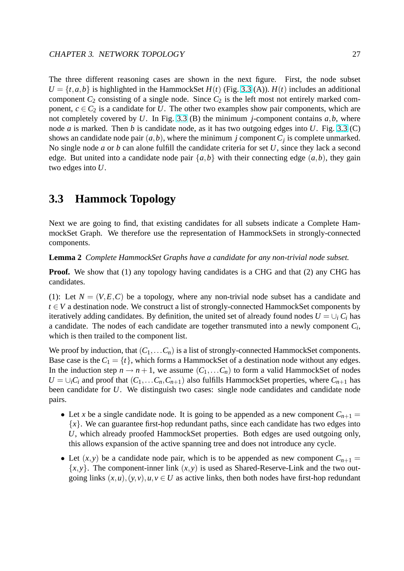<span id="page-29-0"></span>The three different reasoning cases are shown in the next figure. First, the node subset  $U = \{t, a, b\}$  is highlighted in the HammockSet  $H(t)$  (Fig. 3.3 (A)).  $H(t)$  includes an additional component  $C_2$  consisting of a single node. Since  $C_2$  is the left most not entirely marked component,  $c \in C_2$  is a candidate for *U*. The other two examples show pair components, which are not completely covered by  $U$ . In Fig. 3.3 (B) the minim[um](#page-28-0) *j*-component contains  $a, b$ , where node *a* is marked. Then *b* is candidate node, as it has two outgoing edges into *U*. Fig. 3.3 (C) shows an candidate node pair  $(a,b)$ , where the minimum *j* component  $C_j$  is complete unmarked. No single node *a* or *b* can alone fulfill [the](#page-28-0) candidate criteria for set *U*, since they lack a second edge. But united into a candidate node pair  $\{a,b\}$  with their connecting edge  $(a,b)$ , th[ey g](#page-28-0)ain two edges into *U*.

## **3.3 Hammock Topology**

Next we are going to find, that existing candidates for all subsets indicate a Complete HammockSet Graph. We therefore use the representation of HammockSets in strongly-connected components.

**Lemma 2** *Complete HammockSet Graphs have a candidate for any non-trivial node subset.*

**Proof.** We show that (1) any topology having candidates is a CHG and that (2) any CHG has candidates.

(1): Let  $N = (V, E, C)$  be a topology, where any non-trivial node subset has a candidate and *t* ∈ *V* a destination node. We construct a list of strongly-connected HammockSet components by iteratively adding candidates. By definition, the united set of already found nodes  $U = \bigcup_i C_i$  has a candidate. The nodes of each candidate are together transmuted into a newly component *C<sup>i</sup>* , which is then trailed to the component list.

We proof by induction, that  $(C_1, \ldots, C_n)$  is a list of strongly-connected HammockSet components. Base case is the  $C_1 = \{t\}$ , which forms a HammockSet of a destination node without any edges. In the induction step  $n \to n+1$ , we assume  $(C_1,...,C_n)$  to form a valid HammockSet of nodes  $U = \bigcup_i C_i$  and proof that  $(C_1, \ldots, C_n, C_{n+1})$  also fulfills HammockSet properties, where  $C_{n+1}$  has been candidate for *U*. We distinguish two cases: single node candidates and candidate node pairs.

- Let *x* be a single candidate node. It is going to be appended as a new component  $C_{n+1}$  = {*x*}. We can guarantee first-hop redundant paths, since each candidate has two edges into *U*, which already proofed HammockSet properties. Both edges are used outgoing only, this allows expansion of the active spanning tree and does not introduce any cycle.
- Let  $(x, y)$  be a candidate node pair, which is to be appended as new component  $C_{n+1}$  =  $\{x, y\}$ . The component-inner link  $(x, y)$  is used as Shared-Reserve-Link and the two outgoing links  $(x, u)$ ,  $(y, v)$ ,  $u, v \in U$  as active links, then both nodes have first-hop redundant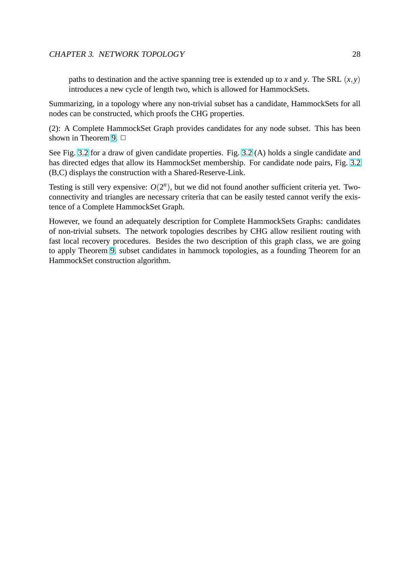paths to destination and the active spanning tree is extended up to *x* and *y*. The SRL  $(x, y)$ introduces a new cycle of length two, which is allowed for HammockSets.

Summarizing, in a topology where any non-trivial subset has a candidate, HammockSets for all nodes can be constructed, which proofs the CHG properties.

(2): A Complete HammockSet Graph provides candidates for any node subset. This has been shown in Theorem 9.  $\Box$ 

See Fig. 3.2 for a draw of given candidate properties. Fig. 3.2 (A) holds a single candidate and has directed edges that allow its HammockSet membership. For candidate node pairs, Fig. 3.2 (B,C) displays the [co](#page-27-0)nstruction with a Shared-Reserve-Link.

Testing i[s sti](#page-27-0)ll very expensive:  $O(2^n)$ , but we did not foun[d ano](#page-27-0)ther sufficient criteria yet. Twoconnectivity and triangles are necessary criteria that can be easily tested cannot verify the e[xis](#page-27-0)tence of a Complete HammockSet Graph.

However, we found an adequately description for Complete HammockSets Graphs: candidates of non-trivial subsets. The network topologies describes by CHG allow resilient routing with fast local recovery procedures. Besides the two description of this graph class, we are going to apply Theorem 9, subset candidates in hammock topologies, as a founding Theorem for an HammockSet construction algorithm.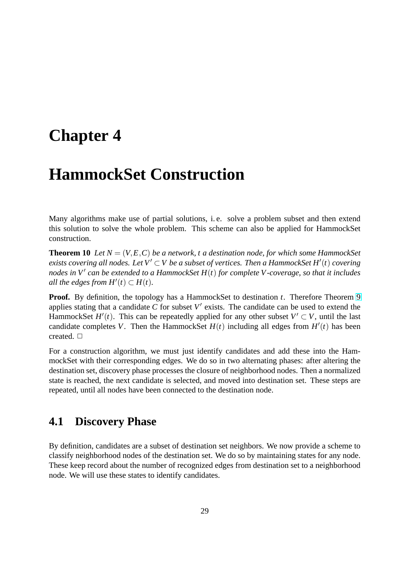# <span id="page-31-0"></span>**Chapter 4**

# **HammockSet Construction**

Many algorithms make use of partial solutions, i. e. solve a problem subset and then extend this solution to solve the whole problem. This scheme can also be applied for HammockSet construction.

**Theorem 10** Let  $N = (V, E, C)$  be a network, t a destination node, for which some HammockSet *exists covering all nodes. Let*  $V' \subset V$  *be a subset of vertices. Then a HammockSet H'*(*t*) *covering nodes in V* 0 *can be extended to a HammockSet H*(*t*) *for complete V-coverage, so that it includes all the edges from*  $H'(t) \subset H(t)$ *.* 

**Proof.** By definition, the topology has a HammockSet to destination *t*. Therefore Theorem 9 applies stating that a candidate  $C$  for subset  $V'$  exists. The candidate can be used to extend the HammockSet  $H'(t)$ . This can be repeatedly applied for any other subset  $V' \subset V$ , until the last candidate completes *V*. Th[en](#page-27-0) the HammockSet  $H(t)$  including all edges from  $H'(t)$  has been created.  $\square$ 

For a construction algorithm, we must just identify candidates and add these into the HammockSet with their corresponding edges. We do so in two alternating phases: after altering the destination set, discovery phase processes the closure of neighborhood nodes. Then a normalized state is reached, the next candidate is selected, and moved into destination set. These steps are repeated, until all nodes have been connected to the destination node.

## **4.1 Discovery Phase**

By definition, candidates are a subset of destination set neighbors. We now provide a scheme to classify neighborhood nodes of the destination set. We do so by maintaining states for any node. These keep record about the number of recognized edges from destination set to a neighborhood node. We will use these states to identify candidates.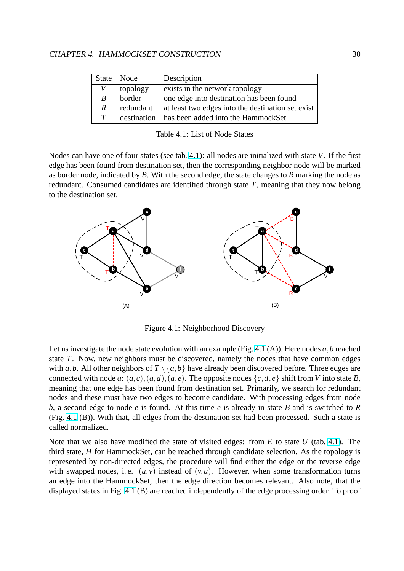| State         | Node        | Description                                       |
|---------------|-------------|---------------------------------------------------|
| V             | topology    | exists in the network topology                    |
| B             | border      | one edge into destination has been found          |
| $\mathcal{R}$ | redundant   | at least two edges into the destination set exist |
| T             | destination | has been added into the HammockSet                |

Table 4.1: List of Node States

Nodes can have one of four states (see tab. 4.1): all nodes are initialized with state *V*. If the first edge has been found from destination set, then the corresponding neighbor node will be marked as border node, indicated by *B*. With the second edge, the state changes to *R* marking the node as redundant. Consumed candidates are iden[tified](#page-31-0) through state *T*, meaning that they now belong to the destination set.



Figure 4.1: Neighborhood Discovery

Let us investigate the node state evolution with an example (Fig. 4.1 (A)). Here nodes *a*,*b* reached state *T*. Now, new neighbors must be discovered, namely the nodes that have common edges with *a*,*b*. All other neighbors of  $T \setminus \{a,b\}$  have already been discovered before. Three edges are connected with node *a*:  $(a, c)$ ,  $(a, d)$ ,  $(a, e)$ . The opposite nodes  $\{c, d, e\}$  shift from *V* into state *B*, meaning that one edge has been found from destination set. Primarily, we search for redundant nodes and these must have two edges to become candidate. With processing edges from node *b*, a second edge to node *e* is found. At this time *e* is already in state *B* and is switched to *R* (Fig. 4.1 (B)). With that, all edges from the destination set had been processed. Such a state is called normalized.

Note that we also have modified the state of visited edges: from *E* to state *U* (tab. 4.1). The third state, *H* for HammockSet, can be reached through candidate selection. As the topology is represented by non-directed edges, the procedure will find either the edge or the reverse edge with swapped nodes, i.e.  $(u, v)$  instead of  $(v, u)$ . However, when some transformation turns an edge into the HammockSet, then the edge direction becomes relevant. Also note, that the displayed states in Fig. 4.1 (B) are reached independently of the edge processing order. To proof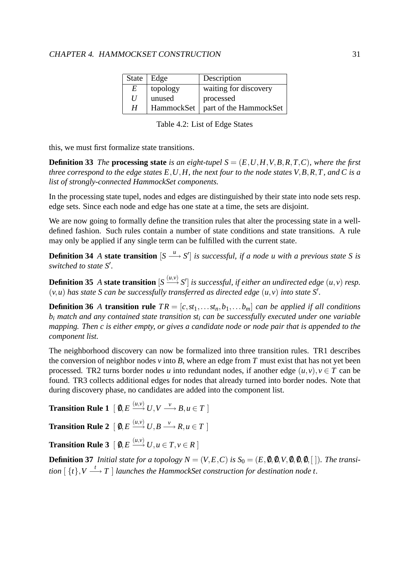#### CHAPTER 4. HAMMOCKSET CONSTRUCTION 31

|   | State $\vert$ Edge | Description            |
|---|--------------------|------------------------|
| E | topology           | waiting for discovery  |
| U | unused             | processed              |
| H | HammockSet         | part of the HammockSet |

Table 4.2: List of Edge States

this, we must first formalize state transitions.

**Definition 33** *The* **processing state** is an eight-tupel  $S = (E, U, H, V, B, R, T, C)$ *, where the first three correspond to the edge states E*,*U*,*H, the next four to the node states V*,*B*,*R*,*T, and C is a list of strongly-connected HammockSet components.*

In the processing state tupel, nodes and edges are distinguished by their state into node sets resp. edge sets. Since each node and edge has one state at a time, the sets are disjoint.

We are now going to formally define the transition rules that alter the processing state in a welldefined fashion. Such rules contain a number of state conditions and state transitions. A rule may only be applied if any single term can be fulfilled with the current state.

**Definition 34** *A* **state transition**  $[S \xrightarrow{u} S']$  *is successful, if a node <i>u with a previous state S is* switched to state S'.

**Definition 35** A state transition  $[S \xrightarrow{(u,v)} S']$  is successful, if either an undirected edge  $(u, v)$  resp.  $(v, u)$  has state *S* can be successfully transferred as directed edge  $(u, v)$  into state *S'*.

**Definition 36** *A* **transition rule**  $TR = [c, st_1, \ldots, st_n, b_1, \ldots, b_m]$  *can be applied if all conditions b<sup>i</sup> match and any contained state transition st<sup>i</sup> can be successfully executed under one variable mapping. Then c is either empty, or gives a candidate node or node pair that is appended to the component list.*

The neighborhood discovery can now be formalized into three transition rules. TR1 describes the conversion of neighbor nodes  $v$  into  $B$ , where an edge from  $T$  must exist that has not yet been processed. TR2 turns border nodes *u* into redundant nodes, if another edge  $(u, v), v \in T$  can be found. TR3 collects additional edges for nodes that already turned into border nodes. Note that during discovery phase, no candidates are added into the component list.

**Transition Rule 1**  $[0, E \xrightarrow{(u,v)} U, V \xrightarrow{\nu} B, u \in T]$ 

**Transition Rule 2**  $[\ 0, E \stackrel{(u,v)}{\longrightarrow} U, B \stackrel{\nu}{\longrightarrow} R, u \in T\ ]$ 

 $\bf{Transition\ Rule\ 3}\ \left[\ 0,E\ \mathop{\longrightarrow}\limits^{(u,v)}\ U,u\in T,v\in R\ \right]$ 

**Definition 37** *Initial state for a topology*  $N = (V, E, C)$  *is*  $S_0 = (E, \emptyset, \emptyset, V, \emptyset, \emptyset, \emptyset, [$  ]*). The transition*  $[\ \{t\}, V \stackrel{t}{\longrightarrow} T \ ]$  *launches the HammockSet construction for destination node t.*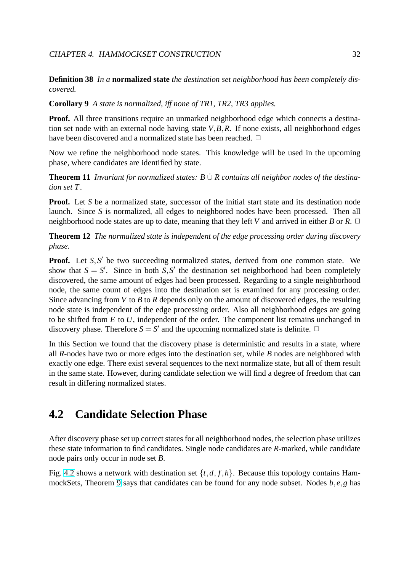<span id="page-34-0"></span>**Definition 38** *In a* **normalized state** *the destination set neighborhood has been completely discovered.*

**Corollary 9** *A state is normalized, iff none of TR1, TR2, TR3 applies.*

**Proof.** All three transitions require an unmarked neighborhood edge which connects a destination set node with an external node having state *V*,*B*,*R*. If none exists, all neighborhood edges have been discovered and a normalized state has been reached.  $\Box$ 

Now we refine the neighborhood node states. This knowledge will be used in the upcoming phase, where candidates are identified by state.

**Theorem 11** *Invariant for normalized states:*  $B \cup R$  *contains all neighbor nodes of the destination set T.*

**Proof.** Let *S* be a normalized state, successor of the initial start state and its destination node launch. Since *S* is normalized, all edges to neighbored nodes have been processed. Then all neighborhood node states are up to date, meaning that they left *V* and arrived in either *B* or *R*.  $\Box$ 

**Theorem 12** *The normalized state is independent of the edge processing order during discovery phase.*

**Proof.** Let  $S$ ,  $S'$  be two succeeding normalized states, derived from one common state. We show that  $S = S'$ . Since in both *S*, *S'* the destination set neighborhood had been completely discovered, the same amount of edges had been processed. Regarding to a single neighborhood node, the same count of edges into the destination set is examined for any processing order. Since advancing from *V* to *B* to *R* depends only on the amount of discovered edges, the resulting node state is independent of the edge processing order. Also all neighborhood edges are going to be shifted from *E* to *U*, independent of the order. The component list remains unchanged in discovery phase. Therefore  $S = S'$  and the upcoming normalized state is definite.  $\Box$ 

In this Section we found that the discovery phase is deterministic and results in a state, where all *R*-nodes have two or more edges into the destination set, while *B* nodes are neighbored with exactly one edge. There exist several sequences to the next normalize state, but all of them result in the same state. However, during candidate selection we will find a degree of freedom that can result in differing normalized states.

### **4.2 Candidate Selection Phase**

After discovery phase set up correct states for all neighborhood nodes, the selection phase utilizes these state information to find candidates. Single node candidates are *R*-marked, while candidate node pairs only occur in node set *B*.

Fig. 4.2 shows a network with destination set  $\{t, d, f, h\}$ . Because this topology contains HammockSets, Theorem 9 says that candidates can be found for any node subset. Nodes *b*, *e*,*g* has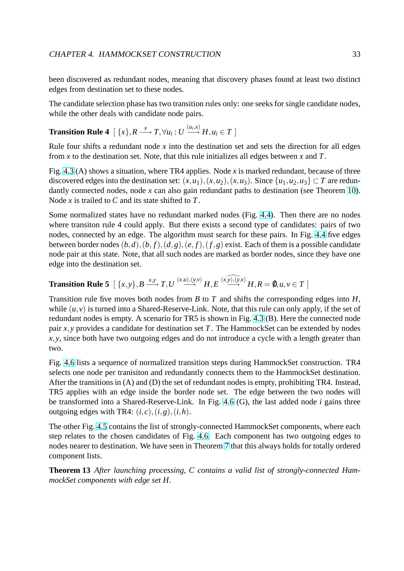been discovered as redundant nodes, meaning that discovery phases found at least two distinct edges from destination set to these nodes.

The candidate selection phase has two transition rules only: one seeks for single candidate nodes, while the other deals with candidate node pairs.

# **Transition Rule 4**  $[\ \{x\}, R \stackrel{x}{\longrightarrow} T, \forall u_i : U \stackrel{(u_i, x)}{\longrightarrow} H, u_i \in T$  ]

Rule four shifts a redundant node *x* into the destination set and sets the direction for all edges from *x* to the destination set. Note, that this rule initializes all edges between *x* and *T*.

Fig. 4.3 (A) shows a situation, where TR4 applies. Node *x* is marked redundant, because of three discovered edges into the destination set:  $(x, u_1)$ ,  $(x, u_2)$ ,  $(x, u_3)$ . Since  $\{u_1, u_2, u_3\} \subset T$  are redundantly connected nodes, node *x* can also gain redundant paths to destination (see Theorem 10). Node *[x](#page-36-0)* is trailed to *C* and its state shifted to *T*.

Some normalized states have no redundant marked nodes (Fig. 4.4). Then there are no nodes where transiton rule 4 could apply. But there exists a second type of candidates: pairs of [two](#page-31-0) nodes, connected by an edge. The algorithm must search for these pairs. In Fig. 4.4 five edges between border nodes  $(b,d)$ , $(b, f)$ , $(d, g)$ , $(e, f)$ , $(f, g)$  exist. Eac[h of t](#page-36-0)hem is a possible candidate node pair at this state. Note, that all such nodes are marked as border nodes, since they have one edge into the destination set.

**Transition Rule 5** 
$$
\left[\right\{x,y\},B \xrightarrow{x,y} T,U \xrightarrow{(x,u),(y,v)} H,E \xrightarrow{(x,y),(y,x)} H,R=0,u,v \in T\right]
$$

Transition rule five moves both nodes from *B* to *T* and shifts the corresponding edges into *H*, while  $(u, v)$  is turned into a Shared-Reserve-Link. Note, that this rule can only apply, if the set of redundant nodes is empty. A scenario for TR5 is shown in Fig. 4.3 (B). Here the connected node pair *x*,*y* provides a candidate for destination set *T*. The HammockSet can be extended by nodes *x*, *y*, since both have two outgoing edges and do not introduce a cycle with a length greater than two.

Fig. 4.6 lists a sequence of normalized transition steps during HammockSet construction. TR4 selects one node per tranisiton and redundantly connects them to the HammockSet destination. After the transitions in (A) and (D) the set of redundant nodes is empty, prohibiting TR4. Instead, TR[5 app](#page-38-0)lies with an edge inside the border node set. The edge between the two nodes will be transformed into a Shared-Reserve-Link. In Fig. 4.6 (G), the last added node *i* gains three outgoing edges with TR4:  $(i, c), (i, g), (i, h)$ .

The other Fig. 4.5 contains the list of strongly-connected HammockSet components, where each step relates to the chosen candidates of Fig. 4.6. E[ach c](#page-38-0)omponent has two outgoing edges to nodes nearer to destination. We have seen in Theorem 7 that this always holds for totally ordered component lis[ts.](#page-37-0)

**Theorem 13** *After launching processing, C [con](#page-38-0)tains a valid list of strongly-connected HammockSet components with edge set H.*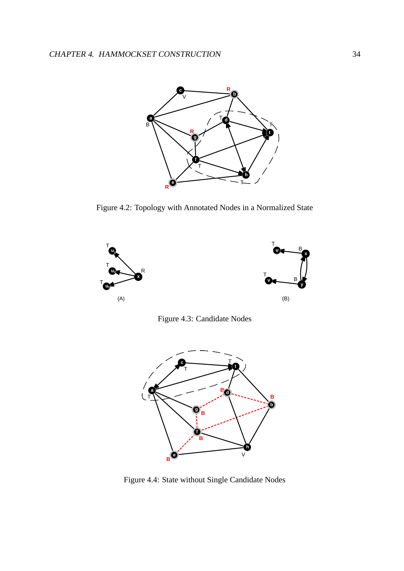<span id="page-36-0"></span>

Figure 4.2: Topology with Annotated Nodes in a Normalized State



Figure 4.3: Candidate Nodes



Figure 4.4: State without Single Candidate Nodes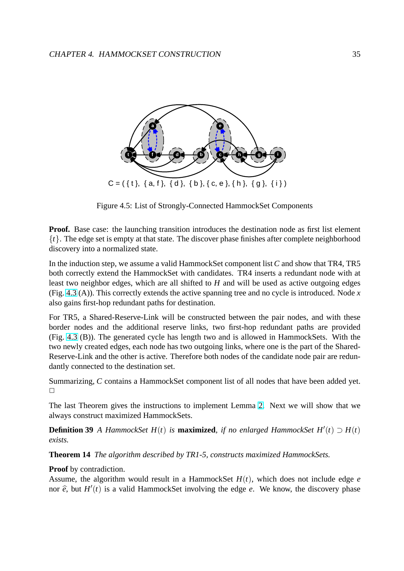

Figure 4.5: List of Strongly-Connected HammockSet Components

**Proof.** Base case: the launching transition introduces the destination node as first list element  ${t}$ . The edge set is empty at that state. The discover phase finishes after complete neighborhood discovery into a normalized state.

In the induction step, we assume a valid HammockSet component list *C* and show that TR4, TR5 both correctly extend the HammockSet with candidates. TR4 inserts a redundant node with at least two neighbor edges, which are all shifted to *H* and will be used as active outgoing edges (Fig. 4.3 (A)). This correctly extends the active spanning tree and no cycle is introduced. Node *x* also gains first-hop redundant paths for destination.

For TR5, a Shared-Reserve-Link will be constructed between the pair nodes, and with these bord[er n](#page-36-0)odes and the additional reserve links, two first-hop redundant paths are provided (Fig. 4.3 (B)). The generated cycle has length two and is allowed in HammockSets. With the two newly created edges, each node has two outgoing links, where one is the part of the Shared-Reserve-Link and the other is active. Therefore both nodes of the candidate node pair are redundantl[y co](#page-36-0)nnected to the destination set.

Summarizing, *C* contains a HammockSet component list of all nodes that have been added yet.  $\Box$ 

The last Theorem gives the instructions to implement Lemma 2. Next we will show that we always construct maximized HammockSets.

**Definition 39** *A HammockSet*  $H(t)$  *is* **maximized**, *if no enlarged HammockSet*  $H'(t) \supset H(t)$ *exists.*

**Theorem 14** *The algorithm described by TR1-5, constructs maximized HammockSets.*

### **Proof** by contradiction.

Assume, the algorithm would result in a HammockSet  $H(t)$ , which does not include edge  $e$ nor  $\hat{e}$ , but  $H'(t)$  is a valid HammockSet involving the edge  $e$ . We know, the discovery phase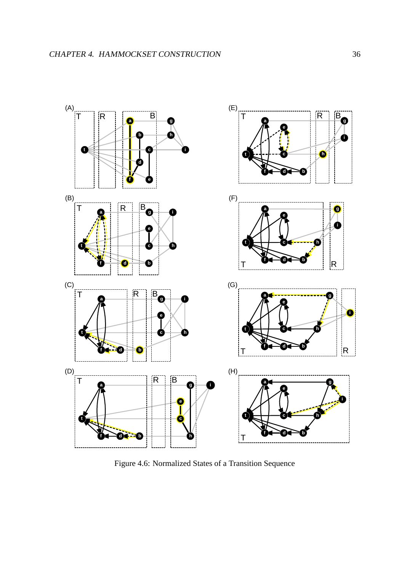

Figure 4.6: Normalized States of a Transition Sequence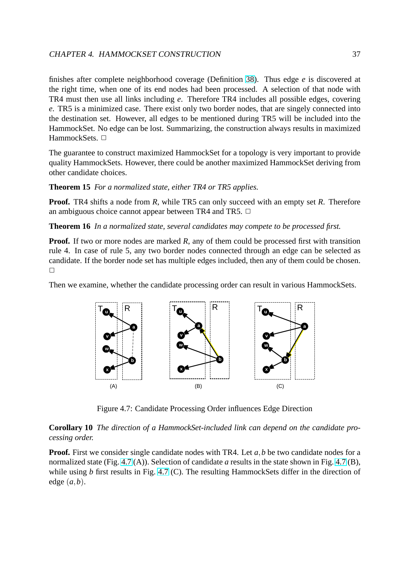### CHAPTER 4. HAMMOCKSET CONSTRUCTION 37

finishes after complete neighborhood coverage (Definition 38). Thus edge *e* is discovered at the right time, when one of its end nodes had been processed. A selection of that node with TR4 must then use all links including *e*. Therefore TR4 includes all possible edges, covering *e*. TR5 is a minimized case. There exist only two border n[odes](#page-33-0), that are singely connected into the destination set. However, all edges to be mentioned during TR5 will be included into the HammockSet. No edge can be lost. Summarizing, the construction always results in maximized HammockSets. □

The guarantee to construct maximized HammockSet for a topology is very important to provide quality HammockSets. However, there could be another maximized HammockSet deriving from other candidate choices.

**Theorem 15** *For a normalized state, either TR4 or TR5 applies.*

**Proof.** TR4 shifts a node from *R*, while TR5 can only succeed with an empty set *R*. Therefore an ambiguous choice cannot appear between TR4 and TR5.  $\Box$ 

**Theorem 16** *In a normalized state, several candidates may compete to be processed first.*

**Proof.** If two or more nodes are marked *R*, any of them could be processed first with transition rule 4. In case of rule 5, any two border nodes connected through an edge can be selected as candidate. If the border node set has multiple edges included, then any of them could be chosen.  $\Box$ 

Then we examine, whether the candidate processing order can result in various HammockSets.



Figure 4.7: Candidate Processing Order influences Edge Direction

**Corollary 10** *The direction of a HammockSet-included link can depend on the candidate processing order.*

**Proof.** First we consider single candidate nodes with TR4. Let *a*,*b* be two candidate nodes for a normalized state (Fig. 4.7 (A)). Selection of candidate *a* results in the state shown in Fig. 4.7 (B), while using *b* first results in Fig. 4.7 (C). The resulting HammockSets differ in the direction of edge  $(a,b)$ .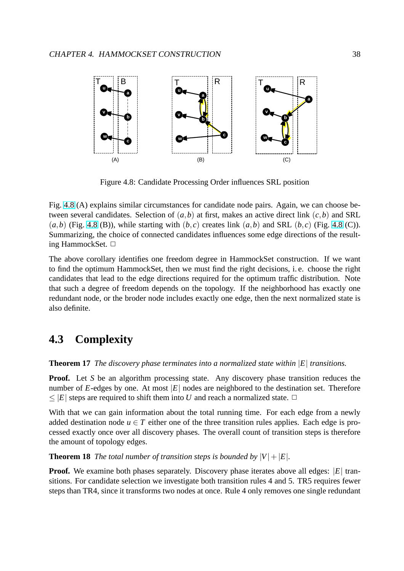<span id="page-40-0"></span>

Figure 4.8: Candidate Processing Order influences SRL position

Fig. 4.8 (A) explains similar circumstances for candidate node pairs. Again, we can choose between several candidates. Selection of  $(a, b)$  at first, makes an active direct link  $(c, b)$  and SRL  $(a,b)$  (Fig. 4.8 (B)), while starting with  $(b, c)$  creates link  $(a,b)$  and SRL  $(b, c)$  (Fig. 4.8 (C)). Summarizing, the choice of connected candidates influences some edge directions of the resulting HammockSet. □

The above corollary identifies one freedom degree in HammockSet construction. If we want to find the optimum HammockSet, then we must find the right decisions, i. e. choose the right candidates that lead to the edge directions required for the optimum traffic distribution. Note that such a degree of freedom depends on the topology. If the neighborhood has exactly one redundant node, or the broder node includes exactly one edge, then the next normalized state is also definite.

### **4.3 Complexity**

#### **Theorem 17** *The discovery phase terminates into a normalized state within* |*E*| *transitions.*

**Proof.** Let *S* be an algorithm processing state. Any discovery phase transition reduces the number of  $E$ -edges by one. At most  $|E|$  nodes are neighbored to the destination set. Therefore  $\leq$  |*E*| steps are required to shift them into *U* and reach a normalized state.  $\Box$ 

With that we can gain information about the total running time. For each edge from a newly added destination node  $u \in T$  either one of the three transition rules applies. Each edge is processed exactly once over all discovery phases. The overall count of transition steps is therefore the amount of topology edges.

**Theorem 18** *The total number of transition steps is bounded by*  $|V| + |E|$ *.* 

**Proof.** We examine both phases separately. Discovery phase iterates above all edges: |E| transitions. For candidate selection we investigate both transition rules 4 and 5. TR5 requires fewer steps than TR4, since it transforms two nodes at once. Rule 4 only removes one single redundant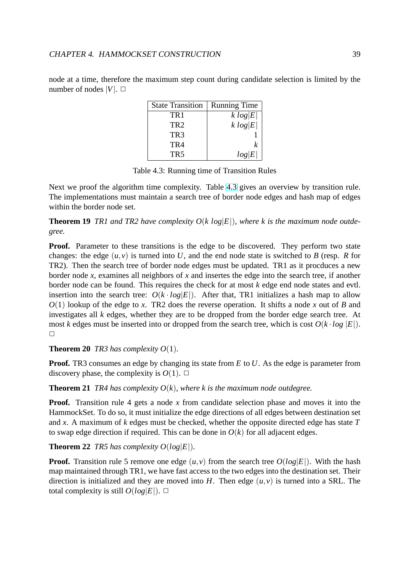| <b>State Transition</b> | <b>Running Time</b> |
|-------------------------|---------------------|
| TR1                     | k log E             |
| TR <sub>2</sub>         | k log E             |
| TR <sub>3</sub>         |                     |
| TR4                     | k                   |
| TR <sub>5</sub>         | log E               |

node at a time, therefore the maximum step count during candidate selection is limited by the number of nodes  $|V|$ .  $\Box$ 

Table 4.3: Running time of Transition Rules

Next we proof the algorithm time complexity. Table 4.3 gives an overview by transition rule. The implementations must maintain a search tree of border node edges and hash map of edges within the border node set.

**Theorem 19** *TR1* and *TR2* have complexity  $O(k \log |E|)$  $O(k \log |E|)$ , where k is the maximum node outde*gree.*

**Proof.** Parameter to these transitions is the edge to be discovered. They perform two state changes: the edge  $(u, v)$  is turned into U, and the end node state is switched to B (resp. R for TR2). Then the search tree of border node edges must be updated. TR1 as it procduces a new border node *x*, examines all neighbors of *x* and insertes the edge into the search tree, if another border node can be found. This requires the check for at most *k* edge end node states and evtl. insertion into the search tree:  $O(k \cdot log|E|)$ . After that, TR1 initializes a hash map to allow *O*(1) lookup of the edge to *x*. TR2 does the reverse operation. It shifts a node *x* out of *B* and investigates all *k* edges, whether they are to be dropped from the border edge search tree. At most *k* edges must be inserted into or dropped from the search tree, which is cost  $O(k \cdot log |E|)$ .  $\Box$ 

**Theorem 20** *TR3 has complexity*  $O(1)$ *.* 

**Proof.** TR3 consumes an edge by changing its state from *E* to *U*. As the edge is parameter from discovery phase, the complexity is  $O(1)$ .  $\Box$ 

**Theorem 21** *TR4 has complexity*  $O(k)$ *, where k is the maximum node outdegree.* 

**Proof.** Transition rule 4 gets a node x from candidate selection phase and moves it into the HammockSet. To do so, it must initialize the edge directions of all edges between destination set and *x*. A maximum of *k* edges must be checked, whether the opposite directed edge has state *T* to swap edge direction if required. This can be done in  $O(k)$  for all adjacent edges.

**Theorem 22** *TR5 has complexity*  $O(log|E|)$ *.* 

**Proof.** Transition rule 5 remove one edge  $(u, v)$  from the search tree  $O(log |E|)$ . With the hash map maintained through TR1, we have fast access to the two edges into the destination set. Their direction is initialized and they are moved into *H*. Then edge  $(u, v)$  is turned into a SRL. The total complexity is still  $O(log|E|)$ .  $\Box$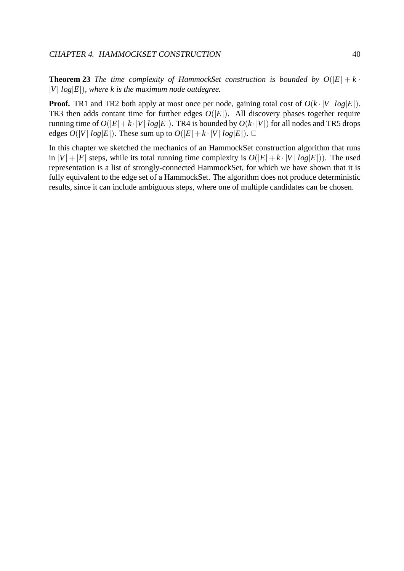**Theorem 23** *The time complexity of HammockSet construction is bounded by*  $O(|E| + k \cdot$  $|V|$   $log|E|$ ), where *k* is the maximum node outdegree.

**Proof.** TR1 and TR2 both apply at most once per node, gaining total cost of  $O(k \cdot |V| \log |E|)$ . TR3 then adds contant time for further edges  $O(|E|)$ . All discovery phases together require running time of  $O(|E| + k \cdot |V| \log |E|)$ . TR4 is bounded by  $O(k \cdot |V|)$  for all nodes and TR5 drops edges  $O(|V| \log |E|)$ . These sum up to  $O(|E| + k \cdot |V| \log |E|)$ .  $\Box$ 

In this chapter we sketched the mechanics of an HammockSet construction algorithm that runs in  $|V| + |E|$  steps, while its total running time complexity is  $O(|E| + k \cdot |V| \log |E|)$ . The used representation is a list of strongly-connected HammockSet, for which we have shown that it is fully equivalent to the edge set of a HammockSet. The algorithm does not produce deterministic results, since it can include ambiguous steps, where one of multiple candidates can be chosen.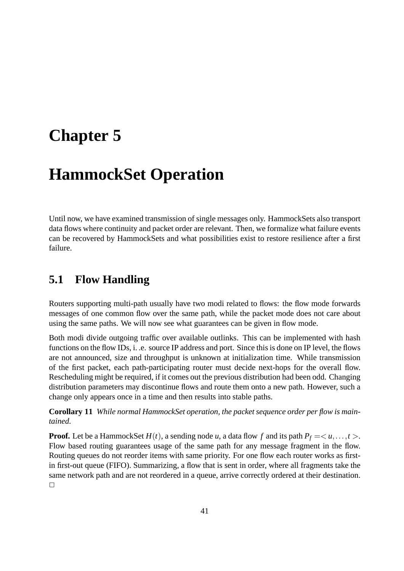# **Chapter 5**

# **HammockSet Operation**

Until now, we have examined transmission of single messages only. HammockSets also transport data flows where continuity and packet order are relevant. Then, we formalize what failure events can be recovered by HammockSets and what possibilities exist to restore resilience after a first failure.

## **5.1 Flow Handling**

Routers supporting multi-path usually have two modi related to flows: the flow mode forwards messages of one common flow over the same path, while the packet mode does not care about using the same paths. We will now see what guarantees can be given in flow mode.

Both modi divide outgoing traffic over available outlinks. This can be implemented with hash functions on the flow IDs, i. .e. source IP address and port. Since this is done on IP level, the flows are not announced, size and throughput is unknown at initialization time. While transmission of the first packet, each path-participating router must decide next-hops for the overall flow. Rescheduling might be required, if it comes out the previous distribution had been odd. Changing distribution parameters may discontinue flows and route them onto a new path. However, such a change only appears once in a time and then results into stable paths.

**Corollary 11** *While normal HammockSet operation, the packet sequence order per flow is maintained.*

**Proof.** Let be a HammockSet  $H(t)$ , a sending node *u*, a data flow f and its path  $P_f = \langle u, \ldots, t \rangle$ . Flow based routing guarantees usage of the same path for any message fragment in the flow. Routing queues do not reorder items with same priority. For one flow each router works as firstin first-out queue (FIFO). Summarizing, a flow that is sent in order, where all fragments take the same network path and are not reordered in a queue, arrive correctly ordered at their destination.  $\Box$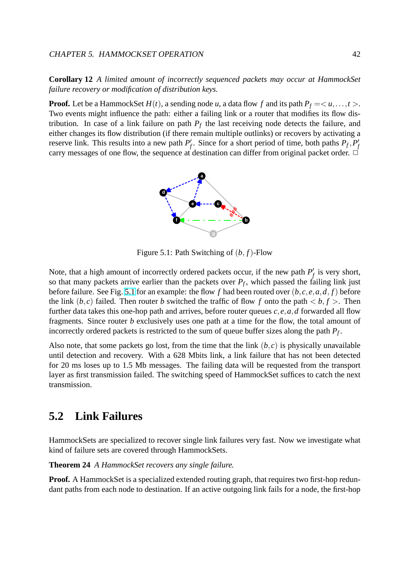**Corollary 12** *A limited amount of incorrectly sequenced packets may occur at HammockSet failure recovery or modification of distribution keys.*

**Proof.** Let be a HammockSet  $H(t)$ , a sending node *u*, a data flow f and its path  $P_f = \langle u, \ldots, t \rangle$ . Two events might influence the path: either a failing link or a router that modifies its flow distribution. In case of a link failure on path  $P_f$  the last receiving node detects the failure, and either changes its flow distribution (if there remain multiple outlinks) or recovers by activating a reserve link. This results into a new path  $P'$ *f*. Since for a short period of time, both paths  $P_f$ ,  $P'_f$ *f* carry messages of one flow, the sequence at destination can differ from original packet order.  $\Box$ 



Figure 5.1: Path Switching of (*b*, *f*)-Flow

Note, that a high amount of incorrectly ordered packets occur, if the new path  $P'$  $'$ <sub>f</sub> is very short, so that many packets arrive earlier than the packets over  $P_f$ , which passed the failing link just before failure. See Fig. 5.1 for an example: the flow *f* had been routed over (*b*, *c*, *e*,*a*,*d*, *f*) before the link  $(b, c)$  failed. Then router *b* switched the traffic of flow *f* onto the path **. Then** further data takes this one-hop path and arrives, before router queues *c*, *e*,*a*,*d* forwarded all flow fragments. Since router *b* exclusively uses one path at a time for the flow, the total amount of incorrectly ordered packets is restricted to the sum of queue buffer sizes along the path *P<sup>f</sup>* .

Also note, that some packets go lost, from the time that the link  $(b, c)$  is physically unavailable until detection and recovery. With a 628 Mbits link, a link failure that has not been detected for 20 ms loses up to 1.5 Mb messages. The failing data will be requested from the transport layer as first transmission failed. The switching speed of HammockSet suffices to catch the next transmission.

## **5.2 Link Failures**

HammockSets are specialized to recover single link failures very fast. Now we investigate what kind of failure sets are covered through HammockSets.

**Theorem 24** *A HammockSet recovers any single failure.*

**Proof.** A HammockSet is a specialized extended routing graph, that requires two first-hop redundant paths from each node to destination. If an active outgoing link fails for a node, the first-hop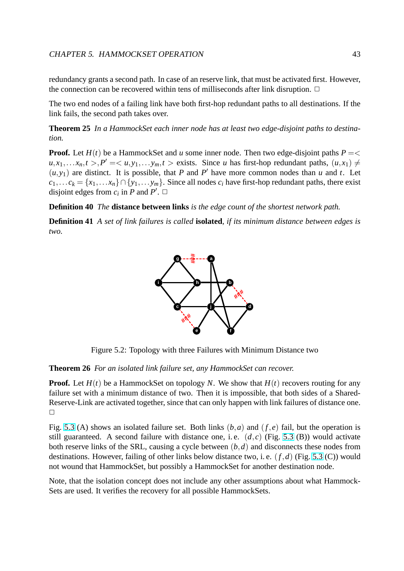<span id="page-45-0"></span>redundancy grants a second path. In case of an reserve link, that must be activated first. However, the connection can be recovered within tens of milliseconds after link disruption.  $\Box$ 

The two end nodes of a failing link have both first-hop redundant paths to all destinations. If the link fails, the second path takes over.

**Theorem 25** *In a HammockSet each inner node has at least two edge-disjoint paths to destination.*

**Proof.** Let  $H(t)$  be a HammockSet and *u* some inner node. Then two edge-disjoint paths  $P = \langle$  $u, x_1, \ldots, x_n, t > 0$ ,  $P' = \langle u, y_1, \ldots, y_m, t \rangle$  exists. Since *u* has first-hop redundant paths,  $(u, x_1) \neq 0$  $(u, y_1)$  are distinct. It is possible, that *P* and *P*<sup>'</sup> have more common nodes than *u* and *t*. Let  $c_1, \ldots c_k = \{x_1, \ldots x_n\} \cap \{y_1, \ldots y_m\}$ . Since all nodes  $c_i$  have first-hop redundant paths, there exist disjoint edges from  $c_i$  in *P* and *P'*.  $\Box$ 

**Definition 40** *The* **distance between links** *is the edge count of the shortest network path.*

**Definition 41** *A set of link failures is called* **isolated***, if its minimum distance between edges is two.*



Figure 5.2: Topology with three Failures with Minimum Distance two

**Theorem 26** *For an isolated link failure set, any HammockSet can recover.*

**Proof.** Let  $H(t)$  be a HammockSet on topology *N*. We show that  $H(t)$  recovers routing for any failure set with a minimum distance of two. Then it is impossible, that both sides of a Shared-Reserve-Link are activated together, since that can only happen with link failures of distance one.  $\Box$ 

Fig. 5.3 (A) shows an isolated failure set. Both links (*b*,*a*) and (*f*, *e*) fail, but the operation is still guaranteed. A second failure with distance one, i.e.  $(d, c)$  (Fig. 5.3 (B)) would activate both reserve links of the SRL, causing a cycle between (*b*,*d*) and disconnects these nodes from dest[inati](#page-46-0)ons. However, failing of other links below distance two, i. e. (*f*,*d*) (Fig. 5.3 (C)) would not wound that HammockSet, but possibly a HammockSet for another [desti](#page-46-0)nation node.

Note, that the isolation concept does not include any other assumptions about what Hammock-Sets are used. It verifies the recovery for all possible HammockSets.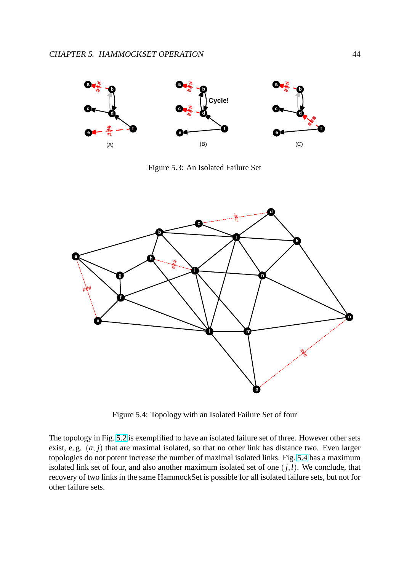<span id="page-46-0"></span>

Figure 5.3: An Isolated Failure Set



Figure 5.4: Topology with an Isolated Failure Set of four

The topology in Fig. 5.2 is exemplified to have an isolated failure set of three. However other sets exist, e. g. (*a*, *j*) that are maximal isolated, so that no other link has distance two. Even larger topologies do not potent increase the number of maximal isolated links. Fig. 5.4 has a maximum isolated link set of f[our,](#page-45-0) and also another maximum isolated set of one  $(j, l)$ . We conclude, that recovery of two links in the same HammockSet is possible for all isolated failure sets, but not for other failure sets.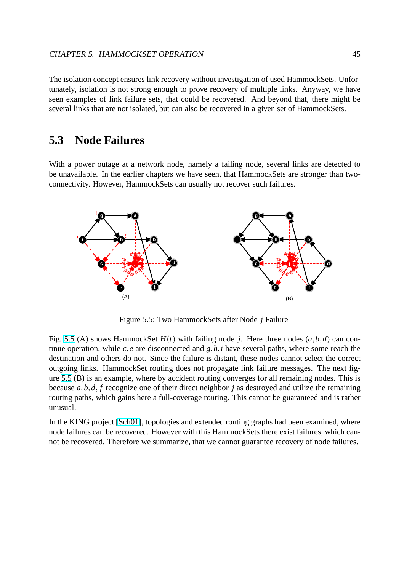The isolation concept ensures link recovery without investigation of used HammockSets. Unfortunately, isolation is not strong enough to prove recovery of multiple links. Anyway, we have seen examples of link failure sets, that could be recovered. And beyond that, there might be several links that are not isolated, but can also be recovered in a given set of HammockSets.

### **5.3 Node Failures**

With a power outage at a network node, namely a failing node, several links are detected to be unavailable. In the earlier chapters we have seen, that HammockSets are stronger than twoconnectivity. However, HammockSets can usually not recover such failures.



Figure 5.5: Two HammockSets after Node *j* Failure

Fig. 5.5 (A) shows HammockSet  $H(t)$  with failing node *j*. Here three nodes  $(a, b, d)$  can continue operation, while  $c, e$  are disconnected and  $g, h, i$  have several paths, where some reach the destination and others do not. Since the failure is distant, these nodes cannot select the correct outgoing links. HammockSet routing does not propagate link failure messages. The next figure 5.5 (B) is an example, where by accident routing converges for all remaining nodes. This is because *a*,*b*,*d*, *f* recognize one of their direct neighbor *j* as destroyed and utilize the remaining routing paths, which gains here a full-coverage routing. This cannot be guaranteed and is rather unusual.

In the KING project [Sch01], topologies and extended routing graphs had been examined, where node failures can be recovered. However with this HammockSets there exist failures, which cannot be recovered. Therefore we summarize, that we cannot guarantee recovery of node failures.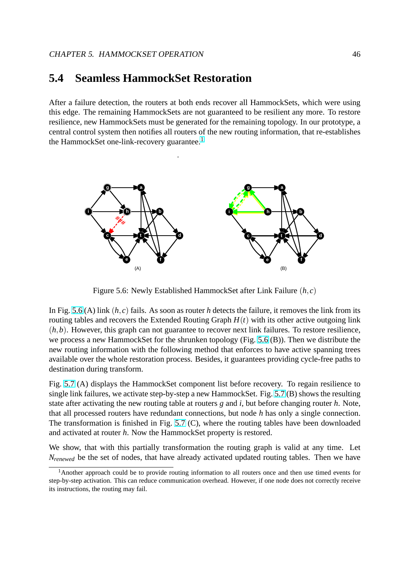### **5.4 Seamless HammockSet Restoration**

After a failure detection, the routers at both ends recover all HammockSets, which were using this edge. The remaining HammockSets are not guaranteed to be resilient any more. To restore resilience, new HammockSets must be generated for the remaining topology. In our prototype, a central control system then notifies all routers of the new routing information, that re-establishes the HammockSet one-link-recovery guarantee.<sup>1</sup>



Figure 5.6: Newly Established HammockSet after Link Failure (*h*, *c*)

In Fig. 5.6 (A) link  $(h, c)$  fails. As soon as router *h* detects the failure, it removes the link from its routing tables and recovers the Extended Routing Graph  $H(t)$  with its other active outgoing link  $(h, b)$ . However, this graph can not guarantee to recover next link failures. To restore resilience, we process a new HammockSet for the shrunken topology (Fig. 5.6 (B)). Then we distribute the new routing information with the following method that enforces to have active spanning trees available over the whole restoration process. Besides, it guarantees providing cycle-free paths to destination during transform.

Fig. 5.7 (A) displays the HammockSet component list before recovery. To regain resilience to single link failures, we activate step-by-step a new HammockSet. Fig. 5.7 (B) shows the resulting state after activating the new routing table at routers *g* and *i*, but before changing router *h*. Note, that [all p](#page-49-0)rocessed routers have redundant connections, but node *h* has only a single connection. The transformation is finished in Fig. 5.7 (C), where the routing ta[bles](#page-49-0) have been downloaded and activated at router *h*. Now the HammockSet property is restored.

We show, that with this partially transformation the routing graph is valid at any time. Let *N*<sub>renewed</sub> be the set of nodes, that hav[e alre](#page-49-0)ady activated updated routing tables. Then we have

<sup>&</sup>lt;sup>1</sup>Another approach could be to provide routing information to all routers once and then use timed events for step-by-step activation. This can reduce communication overhead. However, if one node does not correctly receive its instructions, the routing may fail.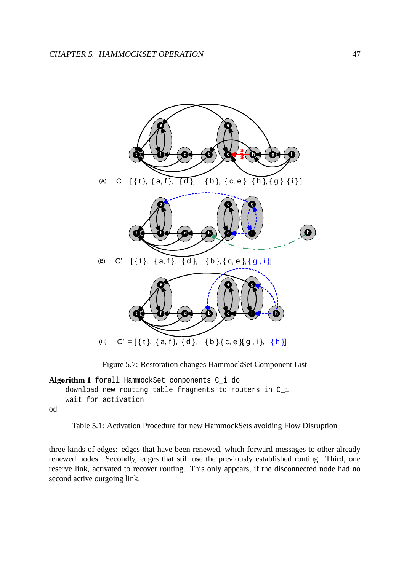<span id="page-49-0"></span>

Figure 5.7: Restoration changes HammockSet Component List

```
Algorithm 1 forall HammockSet components C_i do
    download new routing table fragments to routers in C_i
    wait for activation
od
```

```
Table 5.1: Activation Procedure for new HammockSets avoiding Flow Disruption
```
three kinds of edges: edges that have been renewed, which forward messages to other already renewed nodes. Secondly, edges that still use the previously established routing. Third, one reserve link, activated to recover routing. This only appears, if the disconnected node had no second active outgoing link.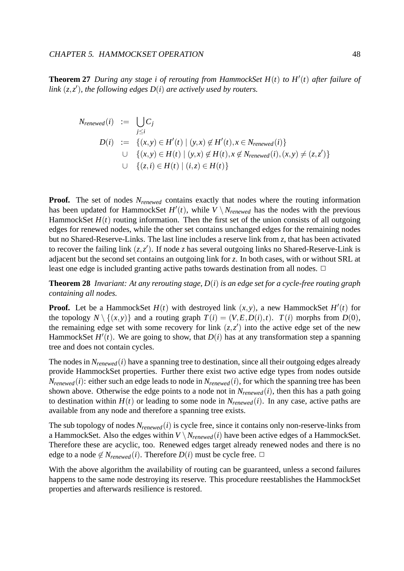#### CHAPTER 5. HAMMOCKSET OPERATION 48

**Theorem 27** *During any stage i of rerouting from HammockSet H*(*t*) *to H* 0 (*t*) *after failure of* link  $(z, z')$ , the following edges  $D(i)$  are actively used by routers.

$$
N_{renewed}(i) := \bigcup_{j \leq i} C_j
$$
  
\n
$$
D(i) := \{(x, y) \in H'(t) \mid (y, x) \notin H'(t), x \in N_{renewed}(i)\}
$$
  
\n
$$
\cup \{(x, y) \in H(t) \mid (y, x) \notin H(t), x \notin N_{renewed}(i), (x, y) \neq (z, z')\}
$$
  
\n
$$
\cup \{(z, i) \in H(t) \mid (i, z) \in H(t)\}
$$

**Proof.** The set of nodes  $N_{renewed}$  contains exactly that nodes where the routing information has been updated for HammockSet  $H'(t)$ , while  $V \setminus N_{renewed}$  has the nodes with the previous HammockSet  $H(t)$  routing information. Then the first set of the union consists of all outgoing edges for renewed nodes, while the other set contains unchanged edges for the remaining nodes but no Shared-Reserve-Links. The last line includes a reserve link from *z*, that has been activated to recover the failing link  $(z, z')$ . If node *z* has several outgoing links no Shared-Reserve-Link is adjacent but the second set contains an outgoing link for *z*. In both cases, with or without SRL at least one edge is included granting active paths towards destination from all nodes.  $\Box$ 

**Theorem 28** *Invariant: At any rerouting stage, D*(*i*) *is an edge set for a cycle-free routing graph containing all nodes.*

**Proof.** Let be a HammockSet  $H(t)$  with destroyed link  $(x, y)$ , a new HammockSet  $H'(t)$  for the topology  $N \setminus \{(x, y)\}\$  and a routing graph  $T(i) = (V, E, D(i), t)$ .  $T(i)$  morphs from  $D(0)$ , the remaining edge set with some recovery for link  $(z, z')$  into the active edge set of the new HammockSet  $H'(t)$ . We are going to show, that  $D(i)$  has at any transformation step a spanning tree and does not contain cycles.

The nodes in  $N_{renewed}(i)$  have a spanning tree to destination, since all their outgoing edges already provide HammockSet properties. Further there exist two active edge types from nodes outside  $N_{renewed}(i)$ : either such an edge leads to node in  $N_{renewed}(i)$ , for which the spanning tree has been shown above. Otherwise the edge points to a node not in  $N_{renewed}(i)$ , then this has a path going to destination within  $H(t)$  or leading to some node in  $N_{renewed}(i)$ . In any case, active paths are available from any node and therefore a spanning tree exists.

The sub topology of nodes  $N_{renewed}(i)$  is cycle free, since it contains only non-reserve-links from a HammockSet. Also the edges within  $V \setminus N_{renewed}(i)$  have been active edges of a HammockSet. Therefore these are acyclic, too. Renewed edges target already renewed nodes and there is no edge to a node  $\notin N_{renewed}(i)$ . Therefore  $D(i)$  must be cycle free.  $\Box$ 

With the above algorithm the availability of routing can be guaranteed, unless a second failures happens to the same node destroying its reserve. This procedure reestablishes the HammockSet properties and afterwards resilience is restored.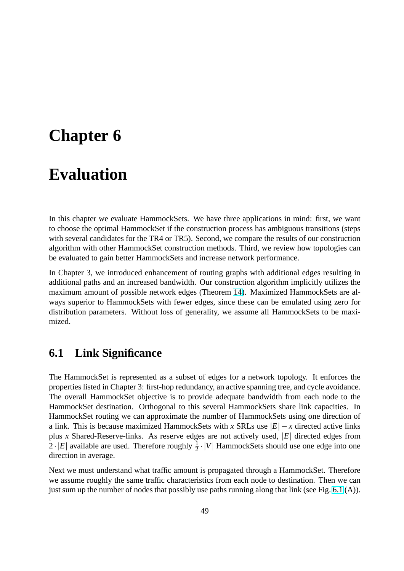# **Chapter 6**

# **Evaluation**

In this chapter we evaluate HammockSets. We have three applications in mind: first, we want to choose the optimal HammockSet if the construction process has ambiguous transitions (steps with several candidates for the TR4 or TR5). Second, we compare the results of our construction algorithm with other HammockSet construction methods. Third, we review how topologies can be evaluated to gain better HammockSets and increase network performance.

In Chapter 3, we introduced enhancement of routing graphs with additional edges resulting in additional paths and an increased bandwidth. Our construction algorithm implicitly utilizes the maximum amount of possible network edges (Theorem 14). Maximized HammockSets are always superior to HammockSets with fewer edges, since these can be emulated using zero for distribution parameters. Without loss of generality, we assume all HammockSets to be maximized.

## **6.1 Link Significance**

The HammockSet is represented as a subset of edges for a network topology. It enforces the properties listed in Chapter 3: first-hop redundancy, an active spanning tree, and cycle avoidance. The overall HammockSet objective is to provide adequate bandwidth from each node to the HammockSet destination. Orthogonal to this several HammockSets share link capacities. In HammockSet routing we can approximate the number of HammockSets using one direction of a link. This is because maximized HammockSets with *x* SRLs use  $|E| - x$  directed active links plus *x* Shared-Reserve-links. As reserve edges are not actively used, |*E*| directed edges from  $2 \cdot |E|$  available are used. Therefore roughly  $\frac{1}{2} \cdot |V|$  HammockSets should use one edge into one direction in average.

Next we must understand what traffic amount is propagated through a HammockSet. Therefore we assume roughly the same traffic characteristics from each node to destination. Then we can just sum up the number of nodes that possibly use paths running along that link (see Fig. 6.1 (A)).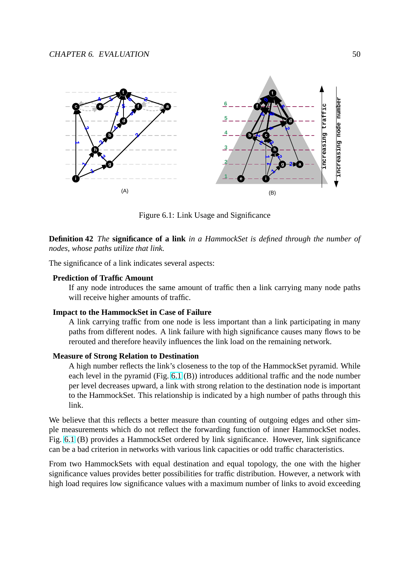

Figure 6.1: Link Usage and Significance

**Definition 42** *The* **significance of a link** *in a HammockSet is defined through the number of nodes, whose paths utilize that link.*

The significance of a link indicates several aspects:

#### **Prediction of Traffic Amount**

If any node introduces the same amount of traffic then a link carrying many node paths will receive higher amounts of traffic.

#### **Impact to the HammockSet in Case of Failure**

A link carrying traffic from one node is less important than a link participating in many paths from different nodes. A link failure with high significance causes many flows to be rerouted and therefore heavily influences the link load on the remaining network.

### **Measure of Strong Relation to Destination**

A high number reflects the link's closeness to the top of the HammockSet pyramid. While each level in the pyramid (Fig. 6.1 (B)) introduces additional traffic and the node number per level decreases upward, a link with strong relation to the destination node is important to the HammockSet. This relationship is indicated by a high number of paths through this link.

We believe that this reflects a better measure than counting of outgoing edges and other simple measurements which do not reflect the forwarding function of inner HammockSet nodes. Fig. 6.1 (B) provides a HammockSet ordered by link significance. However, link significance can be a bad criterion in networks with various link capacities or odd traffic characteristics.

From two HammockSets with equal destination and equal topology, the one with the higher significance values provides better possibilities for traffic distribution. However, a network with high load requires low significance values with a maximum number of links to avoid exceeding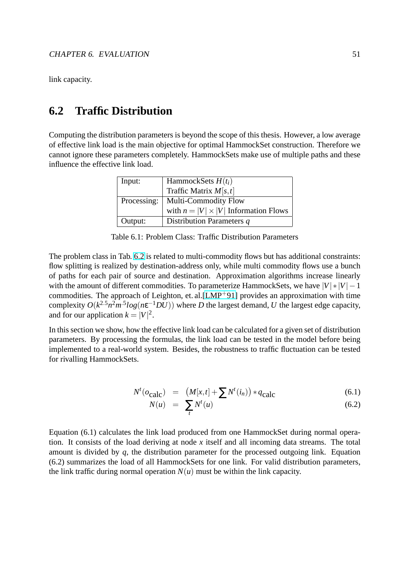link capacity.

## **6.2 Traffic Distribution**

Computing the distribution parameters is beyond the scope of this thesis. However, a low average of effective link load is the main objective for optimal HammockSet construction. Therefore we cannot ignore these parameters completely. HammockSets make use of multiple paths and these influence the effective link load.

| Input:  | HammockSets $H(t_i)$                        |  |  |
|---------|---------------------------------------------|--|--|
|         | Traffic Matrix $M[s,t]$                     |  |  |
|         | Processing:   Multi-Commodity Flow          |  |  |
|         | with $n =  V  \times  V $ Information Flows |  |  |
| Output: | Distribution Parameters q                   |  |  |

| Table 6.1: Problem Class: Traffic Distribution Parameters |  |
|-----------------------------------------------------------|--|
|-----------------------------------------------------------|--|

The problem class in Tab. 6.2 is related to multi-commodity flows but has additional constraints: flow splitting is realized by destination-address only, while multi commodity flows use a bunch of paths for each pair of source and destination. Approximation algorithms increase linearly with the amount of different commodities. To parameterize HammockSets, we have  $|V| * |V| - 1$ commodities. The approach of Leighton, et. al.[LMP+91] provides an approximation with time complexity  $O(k^{2.5}n^2m^5log(n\varepsilon^{-1}DU))$  where *D* the largest demand, *U* the largest edge capacity, and for our application  $k = |V|^2$ .

In this section we show, how the effective link lo[ad can be c](#page-77-0)alculated for a given set of distribution parameters. By processing the formulas, the link load can be tested in the model before being implemented to a real-world system. Besides, the robustness to traffic fluctuation can be tested for rivalling HammockSets.

$$
N^{t}(o_{\text{calc}}) = (M[x,t] + \sum N^{t}(i_{n})) * q_{\text{calc}}
$$
\n(6.1)

$$
N(u) = \sum_{t} N^{t}(u) \tag{6.2}
$$

Equation (6.1) calculates the link load produced from one HammockSet during normal operation. It consists of the load deriving at node *x* itself and all incoming data streams. The total amount is divided by *q*, the distribution parameter for the processed outgoing link. Equation (6.2) summarizes the load of all HammockSets for one link. For valid distribution parameters, the link traffic during normal operation  $N(u)$  must be within the link capacity.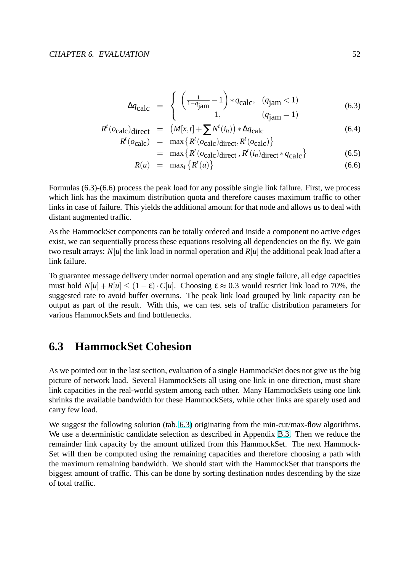$$
\Delta q_{\text{calc}} = \begin{cases} \left( \frac{1}{1 - q_{\text{jam}}} - 1 \right) * q_{\text{calc}}, & (q_{\text{jam}} < 1) \\ 1, & (q_{\text{jam}} = 1) \end{cases}
$$
(6.3)

$$
R^{t}(o_{\text{calc}})_{\text{direct}} = (M[x,t] + \sum N^{t}(i_{n})) * \Delta q_{\text{calc}}
$$
\n
$$
R^{t}(o_{\text{circle}}) = \max_{i} \{R^{t}(o_{\text{circle}}) : i \in \mathbb{R}^{t}(i_{n})\} \tag{6.4}
$$

$$
R^{t}(o_{\text{calc}}) = \max \{ R^{t}(o_{\text{calc}}) \text{direct}, R^{t}(o_{\text{calc}}) \}
$$
  
= max \{ R^{t}(o\_{\text{calc}}) \text{direct}, R^{t}(i\_{n}) \text{direct} \* q\_{\text{calc}} \} (6.5)

$$
= \max_{\{R \text{ (Vcale/direct), } R \text{ (in/direct)}} \left( \frac{n}{\text{direct}} \right) \tag{6.6}
$$

$$
R(u) = \max_t \left\{ R^t(u) \right\} \tag{6.6}
$$

Formulas (6.3)-(6.6) process the peak load for any possible single link failure. First, we process which link has the maximum distribution quota and therefore causes maximum traffic to other links in case of failure. This yields the additional amount for that node and allows us to deal with distant augmented traffic.

As the HammockSet components can be totally ordered and inside a component no active edges exist, we can sequentially process these equations resolving all dependencies on the fly. We gain two result arrays:  $N[u]$  the link load in normal operation and  $R[u]$  the additional peak load after a link failure.

To guarantee message delivery under normal operation and any single failure, all edge capacities must hold  $N[u] + R[u] \le (1 - \varepsilon) \cdot C[u]$ . Choosing  $\varepsilon \approx 0.3$  would restrict link load to 70%, the suggested rate to avoid buffer overruns. The peak link load grouped by link capacity can be output as part of the result. With this, we can test sets of traffic distribution parameters for various HammockSets and find bottlenecks.

### **6.3 HammockSet Cohesion**

As we pointed out in the last section, evaluation of a single HammockSet does not give us the big picture of network load. Several HammockSets all using one link in one direction, must share link capacities in the real-world system among each other. Many HammockSets using one link shrinks the available bandwidth for these HammockSets, while other links are sparely used and carry few load.

We suggest the following solution (tab. 6.3) originating from the min-cut/max-flow algorithms. We use a deterministic candidate selection as described in Appendix B.3. Then we reduce the remainder link capacity by the amount utilized from this HammockSet. The next Hammock-Set will then be computed using the remaining capacities and therefore choosing a path with the maximum remaining bandwidth. We should start with the Hamm[ockS](#page-69-0)et that transports the biggest amount of traffic. This can be done by sorting destination nodes descending by the size of total traffic.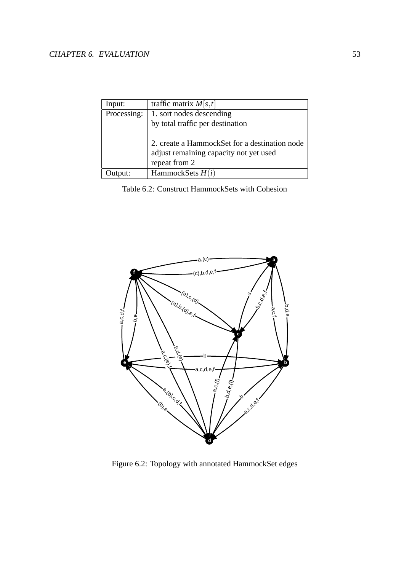### <span id="page-55-0"></span>CHAPTER 6. EVALUATION 53

| Input:      | traffic matrix $M[s,t]$                       |  |  |  |
|-------------|-----------------------------------------------|--|--|--|
| Processing: | 1. sort nodes descending                      |  |  |  |
|             | by total traffic per destination              |  |  |  |
|             |                                               |  |  |  |
|             | 2. create a HammockSet for a destination node |  |  |  |
|             | adjust remaining capacity not yet used        |  |  |  |
|             | repeat from 2                                 |  |  |  |
| Jutput:     | HammockSets $H(i)$                            |  |  |  |

Table 6.2: Construct HammockSets with Cohesion



Figure 6.2: Topology with annotated HammockSet edges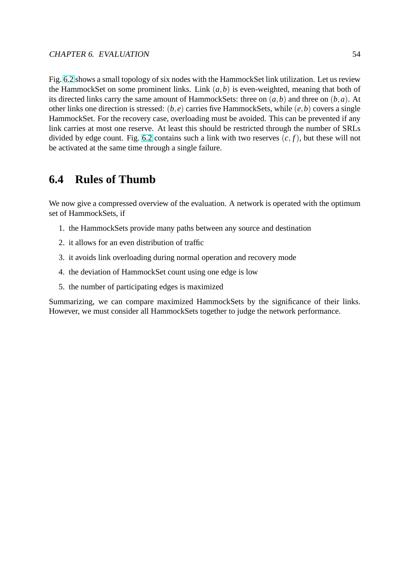Fig. 6.2 shows a small topology of six nodes with the HammockSet link utilization. Let us review the HammockSet on some prominent links. Link (*a*,*b*) is even-weighted, meaning that both of its directed links carry the same amount of HammockSets: three on (*a*,*b*) and three on (*b*,*a*). At oth[er lin](#page-55-0)ks one direction is stressed: (*b*, *e*) carries five HammockSets, while (*e*,*b*) covers a single HammockSet. For the recovery case, overloading must be avoided. This can be prevented if any link carries at most one reserve. At least this should be restricted through the number of SRLs divided by edge count. Fig. 6.2 contains such a link with two reserves  $(c, f)$ , but these will not be activated at the same time through a single failure.

## **6.4 Rules of Thu[mb](#page-55-0)**

We now give a compressed overview of the evaluation. A network is operated with the optimum set of HammockSets, if

- 1. the HammockSets provide many paths between any source and destination
- 2. it allows for an even distribution of traffic
- 3. it avoids link overloading during normal operation and recovery mode
- 4. the deviation of HammockSet count using one edge is low
- 5. the number of participating edges is maximized

Summarizing, we can compare maximized HammockSets by the significance of their links. However, we must consider all HammockSets together to judge the network performance.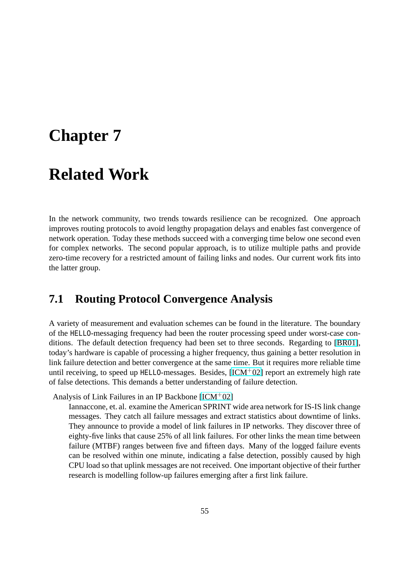# **Chapter 7**

# **Related Work**

In the network community, two trends towards resilience can be recognized. One approach improves routing protocols to avoid lengthy propagation delays and enables fast convergence of network operation. Today these methods succeed with a converging time below one second even for complex networks. The second popular approach, is to utilize multiple paths and provide zero-time recovery for a restricted amount of failing links and nodes. Our current work fits into the latter group.

### **7.1 Routing Protocol Convergence Analysis**

A variety of measurement and evaluation schemes can be found in the literature. The boundary of the HELLO-messaging frequency had been the router processing speed under worst-case conditions. The default detection frequency had been set to three seconds. Regarding to [BR01], today's hardware is capable of processing a higher frequency, thus gaining a better resolution in link failure detection and better convergence at the same time. But it requires more reliable time until receiving, to speed up HELLO-messages. Besides,  $[ICM<sup>+</sup>02]$  report an extremely h[igh rat](#page-76-0)e of false detections. This demands a better understanding of failure detection.

Analysis of Link Failures in an IP Backbone  $[ICM^+02]$ 

Iannaccone, et. al. examine the American SPRINT [wide area](#page-77-0) network for IS-IS link change messages. They catch all failure messages and extract statistics about downtime of links. They announce to provide a model of li[nk failures](#page-77-0) in IP networks. They discover three of eighty-five links that cause 25% of all link failures. For other links the mean time between failure (MTBF) ranges between five and fifteen days. Many of the logged failure events can be resolved within one minute, indicating a false detection, possibly caused by high CPU load so that uplink messages are not received. One important objective of their further research is modelling follow-up failures emerging after a first link failure.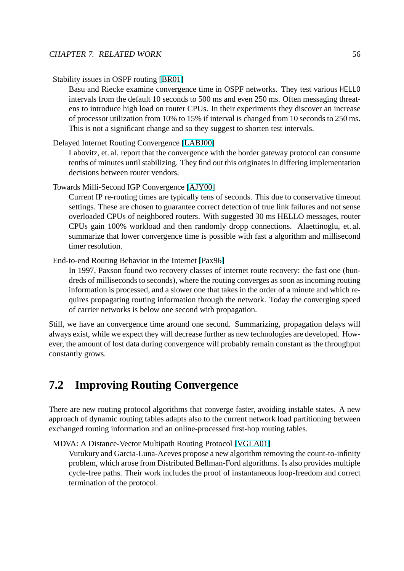Stability issues in OSPF routing [BR01]

Basu and Riecke examine convergence time in OSPF networks. They test various HELLO intervals from the default 10 seconds to 500 ms and even 250 ms. Often messaging threatens to introduce high load o[n route](#page-76-0)r CPUs. In their experiments they discover an increase of processor utilization from 10% to 15% if interval is changed from 10 seconds to 250 ms. This is not a significant change and so they suggest to shorten test intervals.

### Delayed Internet Routing Convergence [LABJ00]

Labovitz, et. al. report that the convergence with the border gateway protocol can consume tenths of minutes until stabilizing. They find out this originates in differing implementation decisions between router vendors.

Towards Milli-Second IGP Convergence [AJY00]

Current IP re-routing times are typically tens of seconds. This due to conservative timeout settings. These are chosen to guarantee correct detection of true link failures and not sense overloaded CPUs of neighbored rout[ers. Wit](#page-76-0)h suggested 30 ms HELLO messages, router CPUs gain 100% workload and then randomly dropp connections. Alaettinoglu, et. al. summarize that lower convergence time is possible with fast a algorithm and millisecond timer resolution.

End-to-end Routing Behavior in the Internet [Pax96]

In 1997, Paxson found two recovery classes of internet route recovery: the fast one (hundreds of milliseconds to seconds), where the routing converges as soon as incoming routing information is processed, and a slower o[ne that t](#page-77-0)akes in the order of a minute and which requires propagating routing information through the network. Today the converging speed of carrier networks is below one second with propagation.

Still, we have an convergence time around one second. Summarizing, propagation delays will always exist, while we expect they will decrease further as new technologies are developed. However, the amount of lost data during convergence will probably remain constant as the throughput constantly grows.

# **7.2 Improving Routing Convergence**

There are new routing protocol algorithms that converge faster, avoiding instable states. A new approach of dynamic routing tables adapts also to the current network load partitioning between exchanged routing information and an online-processed first-hop routing tables.

MDVA: A Distance-Vector Multipath Routing Protocol [VGLA01]

Vutukury and Garcia-Luna-Aceves propose a new algorithm removing the count-to-infinity problem, which arose from Distributed Bellman-Ford algorithms. Is also provides multiple cycle-free paths. Their work includes the proof of i[nstantaneo](#page-78-0)us loop-freedom and correct termination of the protocol.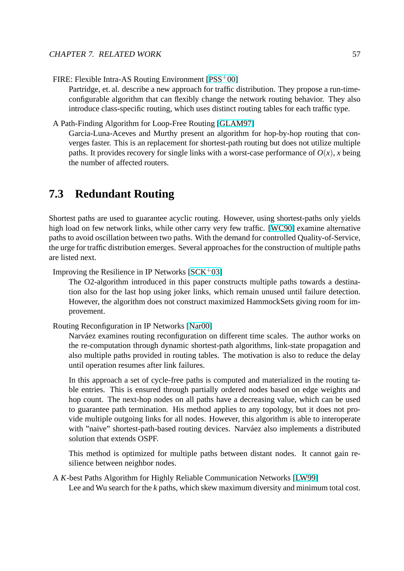FIRE: Flexible Intra-AS Routing Environment [PSS<sup>+</sup>00]

Partridge, et. al. describe a new approach for traffic distribution. They propose a run-timeconfigurable algorithm that can flexibly change the network routing behavior. They also introduce class-specific routing, which use[s distinct](#page-78-0) routing tables for each traffic type.

A Path-Finding Algorithm for Loop-Free Routing [GLAM97]

Garcia-Luna-Aceves and Murthy present an algorithm for hop-by-hop routing that converges faster. This is an replacement for shortest-path routing but does not utilize multiple paths. It provides recovery for single links wit[h a worst-c](#page-76-0)ase performance of  $O(x)$ , *x* being the number of affected routers.

### **7.3 Redundant Routing**

Shortest paths are used to guarantee acyclic routing. However, using shortest-paths only yields high load on few network links, while other carry very few traffic. [WC90] examine alternative paths to avoid oscillation between two paths. With the demand for controlled Quality-of-Service, the urge for traffic distribution emerges. Several approaches for the construction of multiple paths are listed next.

Improving the Resilience in IP Networks  $[SCK^+03]$ 

The O2-algorithm introduced in this paper constructs multiple paths towards a destination also for the last hop using joker links, which remain unused until failure detection. However, the algorithm does not con[struct max](#page-78-0)imized HammockSets giving room for improvement.

Routing Reconfiguration in IP Networks [Nar00]

Narváez examines routing reconfiguration on different time scales. The author works on the re-computation through dynamic shortest-path algorithms, link-state propagation and also multiple paths provided in routi[ng tabl](#page-77-0)es. The motivation is also to reduce the delay until operation resumes after link failures.

In this approach a set of cycle-free paths is computed and materialized in the routing table entries. This is ensured through partially ordered nodes based on edge weights and hop count. The next-hop nodes on all paths have a decreasing value, which can be used to guarantee path termination. His method applies to any topology, but it does not provide multiple outgoing links for all nodes. However, this algorithm is able to interoperate with "naive" shortest-path-based routing devices. Narváez also implements a distributed solution that extends OSPF.

This method is optimized for multiple paths between distant nodes. It cannot gain resilience between neighbor nodes.

A *K*-best Paths Algorithm for Highly Reliable Communication Networks [LW99] Lee and Wu search for the *k* paths, which skew maximum diversity and minimum total cost.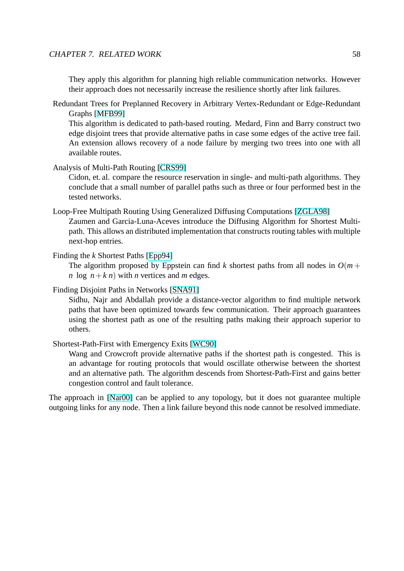They apply this algorithm for planning high reliable communication networks. However their approach does not necessarily increase the resilience shortly after link failures.

Redundant Trees for Preplanned Recovery in Arbitrary Vertex-Redundant or Edge-Redundant Graphs [MFB99]

This algorithm is dedicated to path-based routing. Medard, Finn and Barry construct two edge disjoint trees that provide alternative paths in case some edges of the active tree fail. An exte[nsion all](#page-77-0)ows recovery of a node failure by merging two trees into one with all available routes.

Analysis of Multi-Path Routing [CRS99]

Cidon, et. al. compare the resource reservation in single- and multi-path algorithms. They conclude that a small number of parallel paths such as three or four performed best in the tested networks.

Loop-Free Multipath Routing Using Generalized Diffusing Computations [ZGLA98]

Zaumen and Garcia-Luna-Aceves introduce the Diffusing Algorithm for Shortest Multipath. This allows an distributed implementation that constructs routing tables with multiple next-hop entries.

Finding the *k* Shortest Paths [Epp94]

The algorithm proposed by Eppstein can find *k* shortest paths from all nodes in  $O(m +$ *n* log  $n+k$  *n*) with *n* vertices and *m* edges.

Finding Disjoint Paths in Net[works \[](#page-76-0)SNA91]

Sidhu, Najr and Abdallah provide a distance-vector algorithm to find multiple network paths that have been optimized towards few communication. Their approach guarantees using the shortest path as one [of the r](#page-78-0)esulting paths making their approach superior to others.

Shortest-Path-First with Emergency Exits [WC90]

Wang and Crowcroft provide alternative paths if the shortest path is congested. This is an advantage for routing protocols that would oscillate otherwise between the shortest and an alternative path. The algorith[m descen](#page-78-0)ds from Shortest-Path-First and gains better congestion control and fault tolerance.

The approach in [Nar00] can be applied to any topology, but it does not guarantee multiple outgoing links for any node. Then a link failure beyond this node cannot be resolved immediate.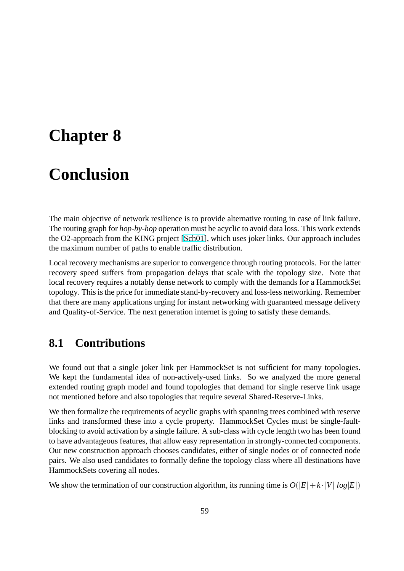# **Chapter 8**

# **Conclusion**

The main objective of network resilience is to provide alternative routing in case of link failure. The routing graph for *hop-by-hop* operation must be acyclic to avoid data loss. This work extends the O2-approach from the KING project [Sch01], which uses joker links. Our approach includes the maximum number of paths to enable traffic distribution.

Local recovery mechanisms are superior to convergence through routing protocols. For the latter recovery speed suffers from propagatio[n delay](#page-78-0)s that scale with the topology size. Note that local recovery requires a notably dense network to comply with the demands for a HammockSet topology. This is the price for immediate stand-by-recovery and loss-less networking. Remember that there are many applications urging for instant networking with guaranteed message delivery and Quality-of-Service. The next generation internet is going to satisfy these demands.

### **8.1 Contributions**

We found out that a single joker link per HammockSet is not sufficient for many topologies. We kept the fundamental idea of non-actively-used links. So we analyzed the more general extended routing graph model and found topologies that demand for single reserve link usage not mentioned before and also topologies that require several Shared-Reserve-Links.

We then formalize the requirements of acyclic graphs with spanning trees combined with reserve links and transformed these into a cycle property. HammockSet Cycles must be single-faultblocking to avoid activation by a single failure. A sub-class with cycle length two has been found to have advantageous features, that allow easy representation in strongly-connected components. Our new construction approach chooses candidates, either of single nodes or of connected node pairs. We also used candidates to formally define the topology class where all destinations have HammockSets covering all nodes.

We show the termination of our construction algorithm, its running time is  $O(|E| + k \cdot |V| \log |E|)$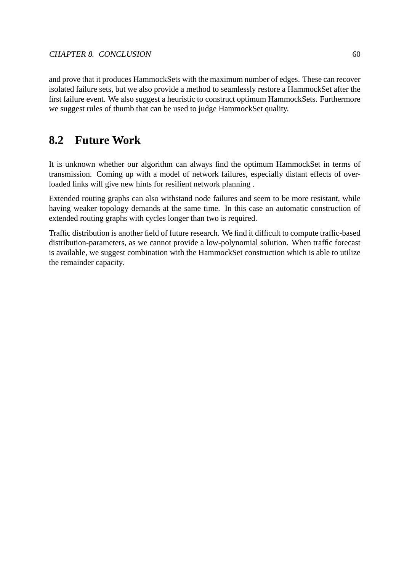and prove that it produces HammockSets with the maximum number of edges. These can recover isolated failure sets, but we also provide a method to seamlessly restore a HammockSet after the first failure event. We also suggest a heuristic to construct optimum HammockSets. Furthermore we suggest rules of thumb that can be used to judge HammockSet quality.

## **8.2 Future Work**

It is unknown whether our algorithm can always find the optimum HammockSet in terms of transmission. Coming up with a model of network failures, especially distant effects of overloaded links will give new hints for resilient network planning .

Extended routing graphs can also withstand node failures and seem to be more resistant, while having weaker topology demands at the same time. In this case an automatic construction of extended routing graphs with cycles longer than two is required.

Traffic distribution is another field of future research. We find it difficult to compute traffic-based distribution-parameters, as we cannot provide a low-polynomial solution. When traffic forecast is available, we suggest combination with the HammockSet construction which is able to utilize the remainder capacity.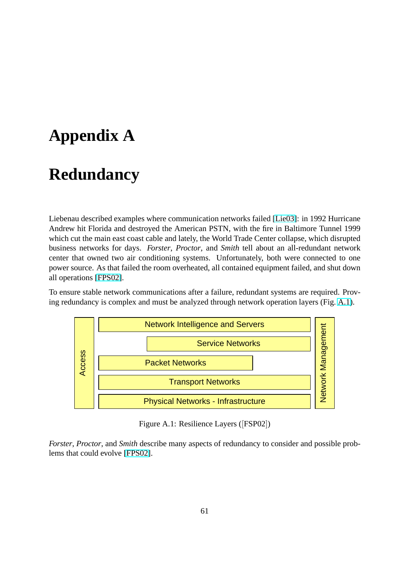# **Appendix A**

# **Redundancy**

Liebenau described examples where communication networks failed [Lie03]: in 1992 Hurricane Andrew hit Florida and destroyed the American PSTN, with the fire in Baltimore Tunnel 1999 which cut the main east coast cable and lately, the World Trade Center collapse, which disrupted business networks for days. *Forster*, *Proctor*, and *Smith* tell about [an all](#page-77-0)-redundant network center that owned two air conditioning systems. Unfortunately, both were connected to one power source. As that failed the room overheated, all contained equipment failed, and shut down all operations [FPS02].

To ensure stable network communications after a failure, redundant systems are required. Proving redundancy is complex and must be analyzed through network operation layers (Fig. A.1).



Figure A.1: Resilience Layers ([FSP02])

*Forster*, *Proctor*, and *Smith* describe many aspects of redundancy to consider and possible problems that could evolve [FPS02].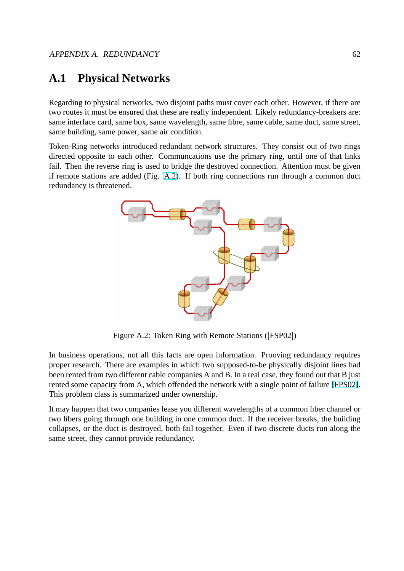# **A.1 Physical Networks**

Regarding to physical networks, two disjoint paths must cover each other. However, if there are two routes it must be ensured that these are really independent. Likely redundancy-breakers are: same interface card, same box, same wavelength, same fibre, same cable, same duct, same street, same building, same power, same air condition.

Token-Ring networks introduced redundant network structures. They consist out of two rings directed opposite to each other. Communcations use the primary ring, until one of that links fail. Then the reverse ring is used to bridge the destroyed connection. Attention must be given if remote stations are added (Fig. A.2). If both ring connections run through a common duct redundancy is threatened.



Figure A.2: Token Ring with Remote Stations ([FSP02])

In business operations, not all this facts are open information. Prooving redundancy requires proper research. There are examples in which two supposed-to-be physically disjoint lines had been rented from two different cable companies A and B. In a real case, they found out that B just rented some capacity from A, which offended the network with a single point of failure [FPS02]. This problem class is summarized under ownership.

It may happen that two companies lease you different wavelengths of a common fiber channel or two fibers going through one building in one common duct. If the receiver breaks, the [building](#page-76-0) collapses, or the duct is destroyed, both fail together. Even if two discrete ducts run along the same street, they cannot provide redundancy.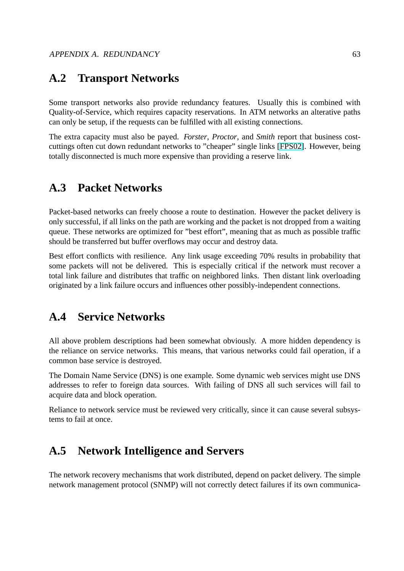## **A.2 Transport Networks**

Some transport networks also provide redundancy features. Usually this is combined with Quality-of-Service, which requires capacity reservations. In ATM networks an alterative paths can only be setup, if the requests can be fulfilled with all existing connections.

The extra capacity must also be payed. *Forster*, *Proctor*, and *Smith* report that business costcuttings often cut down redundant networks to "cheaper" single links [FPS02]. However, being totally disconnected is much more expensive than providing a reserve link.

# **A.3 Packet Networks**

Packet-based networks can freely choose a route to destination. However the packet delivery is only successful, if all links on the path are working and the packet is not dropped from a waiting queue. These networks are optimized for "best effort", meaning that as much as possible traffic should be transferred but buffer overflows may occur and destroy data.

Best effort conflicts with resilience. Any link usage exceeding 70% results in probability that some packets will not be delivered. This is especially critical if the network must recover a total link failure and distributes that traffic on neighbored links. Then distant link overloading originated by a link failure occurs and influences other possibly-independent connections.

## **A.4 Service Networks**

All above problem descriptions had been somewhat obviously. A more hidden dependency is the reliance on service networks. This means, that various networks could fail operation, if a common base service is destroyed.

The Domain Name Service (DNS) is one example. Some dynamic web services might use DNS addresses to refer to foreign data sources. With failing of DNS all such services will fail to acquire data and block operation.

Reliance to network service must be reviewed very critically, since it can cause several subsystems to fail at once.

## **A.5 Network Intelligence and Servers**

The network recovery mechanisms that work distributed, depend on packet delivery. The simple network management protocol (SNMP) will not correctly detect failures if its own communica-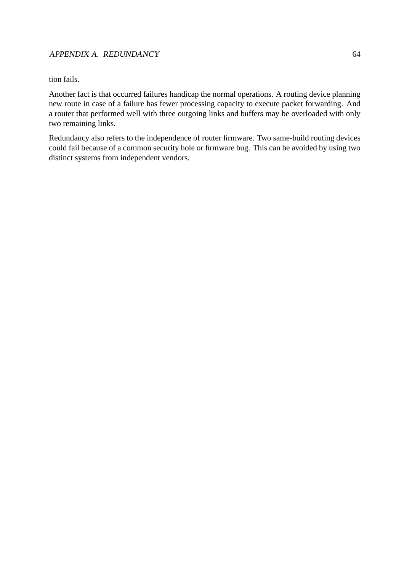### APPENDIX A. REDUNDANCY 64

tion fails.

Another fact is that occurred failures handicap the normal operations. A routing device planning new route in case of a failure has fewer processing capacity to execute packet forwarding. And a router that performed well with three outgoing links and buffers may be overloaded with only two remaining links.

Redundancy also refers to the independence of router firmware. Two same-build routing devices could fail because of a common security hole or firmware bug. This can be avoided by using two distinct systems from independent vendors.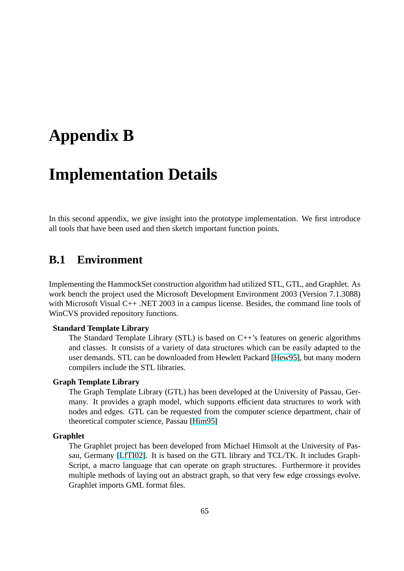# **Appendix B**

# **Implementation Details**

In this second appendix, we give insight into the prototype implementation. We first introduce all tools that have been used and then sketch important function points.

### **B.1 Environment**

Implementing the HammockSet construction algorithm had utilized STL, GTL, and Graphlet. As work bench the project used the Microsoft Development Environment 2003 (Version 7.1.3088) with Microsoft Visual C++ .NET 2003 in a campus license. Besides, the command line tools of WinCVS provided repository functions.

#### **Standard Template Library**

The Standard Template Library (STL) is based on C++'s features on generic algorithms and classes. It consists of a variety of data structures which can be easily adapted to the user demands. STL can be downloaded from Hewlett Packard [Hew95], but many modern compilers include the STL libraries.

#### **Graph Template Library**

The Graph Template Library (GTL) has been developed at the [Univers](#page-77-0)ity of Passau, Germany. It provides a graph model, which supports efficient data structures to work with nodes and edges. GTL can be requested from the computer science department, chair of theoretical computer science, Passau [Him95]

#### **Graphlet**

The Graphlet project has been developed from Michael Himsolt at the University of Passau, Germany [LfTI02]. It is based [on the G](#page-77-0)TL library and TCL/TK. It includes Graph-Script, a macro language that can operate on graph structures. Furthermore it provides multiple methods of laying out an abstract graph, so that very few edge crossings evolve. Graphlet impor[ts GML](#page-77-0) format files.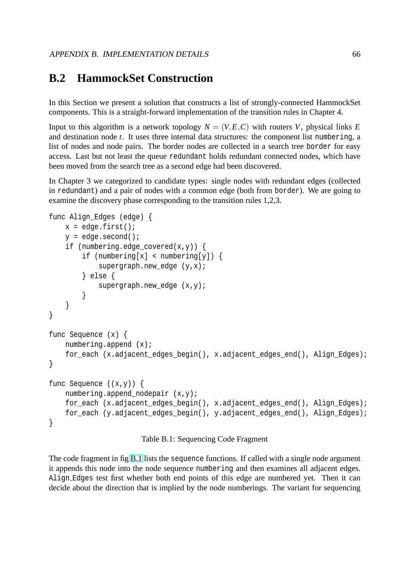## **B.2 HammockSet Construction**

In this Section we present a solution that constructs a list of strongly-connected HammockSet components. This is a straight-forward implementation of the transition rules in Chapter 4.

Input to this algorithm is a network topology  $N = (V, E, C)$  with routers *V*, physical links *E* and destination node *t*. It uses three internal data structures: the component list numbering, a list of nodes and node pairs. The border nodes are collected in a search tree border for easy access. Last but not least the queue redundant holds redundant connected nodes, which have been moved from the search tree as a second edge had been discovered.

In Chapter 3 we categorized to candidate types: single nodes with redundant edges (collected in redundant) and a pair of nodes with a common edge (both from border). We are going to examine the discovery phase corresponding to the transition rules 1,2,3.

```
func Align_Edges (edge) {
    x = edge.fit();
    y = edge.second();
    if (numbering.edge_covered(x,y)) {
        if (numbering[x] < numbering[y]) {
            supergraph.new_edge (y,x);
        } else {
            supergraph.new_edge (x,y);
        }
    }
}
func Sequence (x) {
   numbering.append (x);
    for_each (x.adjacent_edges_begin(), x.adjacent_edges_end(), Align_Edges);
}
func Sequence ((x,y)) {
    numbering.append_nodepair (x,y);
    for_each (x.adjacent_edges_begin(), x.adjacent_edges_end(), Align_Edges);
    for_each (y.adjacent_edges_begin(), y.adjacent_edges_end(), Align_Edges);
}
```
Table B.1: Sequencing Code Fragment

The code fragment in fig B.1 lists the sequence functions. If called with a single node argument it appends this node into the node sequence numbering and then examines all adjacent edges. Align Edges test first whether both end points of this edge are numbered yet. Then it can decide about the direction that is implied by the node numberings. The variant for sequencing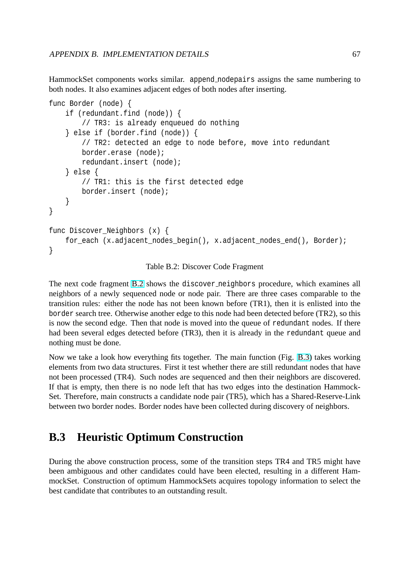<span id="page-69-0"></span>HammockSet components works similar. append nodepairs assigns the same numbering to both nodes. It also examines adjacent edges of both nodes after inserting.

```
func Border (node) {
    if (redundant.find (node)) {
        // TR3: is already enqueued do nothing
    } else if (border.find (node)) {
        // TR2: detected an edge to node before, move into redundant
        border.erase (node);
        redundant.insert (node);
    } else {
        // TR1: this is the first detected edge
        border.insert (node);
    }
}
func Discover_Neighbors (x) {
    for_each (x.adjacent_nodes_begin(), x.adjacent_nodes_end(), Border);
}
```
Table B.2: Discover Code Fragment

The next code fragment B.2 shows the discover neighbors procedure, which examines all neighbors of a newly sequenced node or node pair. There are three cases comparable to the transition rules: either the node has not been known before (TR1), then it is enlisted into the border search tree. Otherwise another edge to this node had been detected before (TR2), so this is now the second edge. Then that node is moved into the queue of redundant nodes. If there had been several edges detected before (TR3), then it is already in the redundant queue and nothing must be done.

Now we take a look how everything fits together. The main function (Fig. B.3) takes working elements from two data structures. First it test whether there are still redundant nodes that have not been processed (TR4). Such nodes are sequenced and then their neighbors are discovered. If that is empty, then there is no node left that has two edges into the des[tinat](#page-70-0)ion Hammock-Set. Therefore, main constructs a candidate node pair (TR5), which has a Shared-Reserve-Link between two border nodes. Border nodes have been collected during discovery of neighbors.

## **B.3 Heuristic Optimum Construction**

During the above construction process, some of the transition steps TR4 and TR5 might have been ambiguous and other candidates could have been elected, resulting in a different HammockSet. Construction of optimum HammockSets acquires topology information to select the best candidate that contributes to an outstanding result.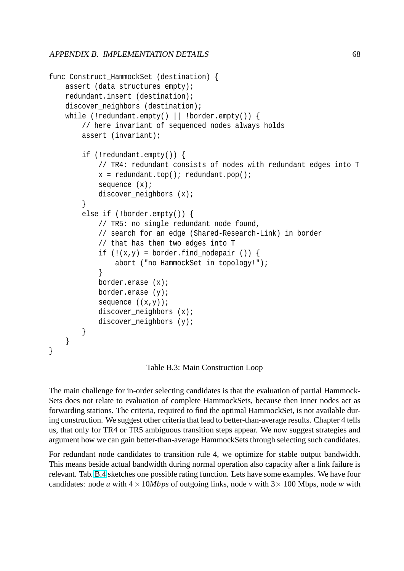```
func Construct HammockSet (destination) {
    assert (data structures empty);
    redundant.insert (destination);
    discover neighbors (destination);
    while (!redundant.empty() || !border.empty()) {
        // here invariant of sequenced nodes always holds
        assert (invariant);
        if (!redundant.empty()) {
            // TR4: redundant consists of nodes with redundant edges into T
            x = redundant.top(); redundant.pop();
            sequence (x);
            discover_neighbors (x);
        }
        else if (!border.empty()) {
            // TR5: no single redundant node found,
            // search for an edge (Shared-Research-Link) in border
            // that has then two edges into T
            if (!(x,y) = border.find_modelr ()abort ("no HammockSet in topology!");
            }
            border.erase (x);
            border.erase (y);
            sequence ((x,y));
            discover_neighbors (x);
            discover_neighbors (y);
        }
    }
}
```
Table B.3: Main Construction Loop

The main challenge for in-order selecting candidates is that the evaluation of partial Hammock-Sets does not relate to evaluation of complete HammockSets, because then inner nodes act as forwarding stations. The criteria, required to find the optimal HammockSet, is not available during construction. We suggest other criteria that lead to better-than-average results. Chapter 4 tells us, that only for TR4 or TR5 ambiguous transition steps appear. We now suggest strategies and argument how we can gain better-than-average HammockSets through selecting such candidates.

For redundant node candidates to transition rule 4, we optimize for stable output bandwidth. This means beside actual bandwidth during normal operation also capacity after a link failure is relevant. Tab. B.4 sketches one possible rating function. Lets have some examples. We have four candidates: node *u* with  $4 \times 10Mbps$  of outgoing links, node *v* with  $3 \times 100$  Mbps, node *w* with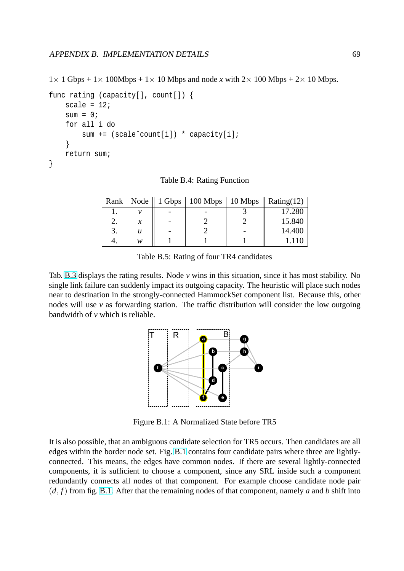$1 \times 1$  Gbps +  $1 \times 100$ Mbps +  $1 \times 10$  Mbps and node *x* with  $2 \times 100$  Mbps +  $2 \times 10$  Mbps.

```
func rating (capacity[], count[]) {
    scale = 12isum = 0;for all i do
        sum += (scale^count[i]) * capacity[i];
    }
    return sum;
}
```
Table B.4: Rating Function

| Rank | Node   | $1 \text{ Gbps}$   100 Mbps   10 Mbps | Rating $(12)$ |
|------|--------|---------------------------------------|---------------|
|      |        |                                       | 17.280        |
|      | $\chi$ |                                       | 15.840        |
| 3.   | u      |                                       | 14.400        |
|      | w      |                                       |               |

Table B.5: Rating of four TR4 candidates

Tab. B.3 displays the rating results. Node *v* wins in this situation, since it has most stability. No single link failure can suddenly impact its outgoing capacity. The heuristic will place such nodes near to destination in the strongly-connected HammockSet component list. Because this, other nodes will use  $\nu$  as forwarding station. The traffic distribution will consider the low outgoing bandwidth of *v* which is reliable.



Figure B.1: A Normalized State before TR5

It is also possible, that an ambiguous candidate selection for TR5 occurs. Then candidates are all edges within the border node set. Fig. B.1 contains four candidate pairs where three are lightlyconnected. This means, the edges have common nodes. If there are several lightly-connected components, it is sufficient to choose a component, since any SRL inside such a component redundantly connects all nodes of that component. For example choose candidate node pair  $(d, f)$  from fig. B.1. After that the remaining nodes of that component, namely *a* and *b* shift into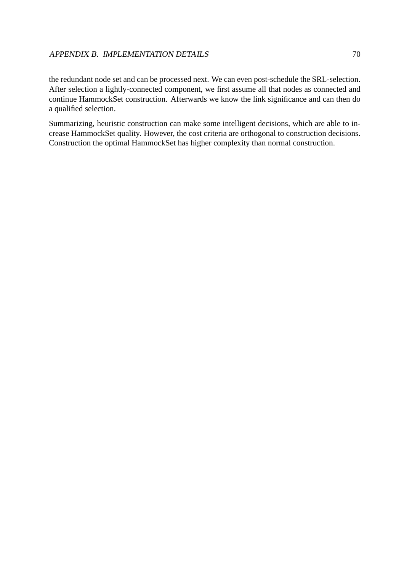the redundant node set and can be processed next. We can even post-schedule the SRL-selection. After selection a lightly-connected component, we first assume all that nodes as connected and continue HammockSet construction. Afterwards we know the link significance and can then do a qualified selection.

Summarizing, heuristic construction can make some intelligent decisions, which are able to increase HammockSet quality. However, the cost criteria are orthogonal to construction decisions. Construction the optimal HammockSet has higher complexity than normal construction.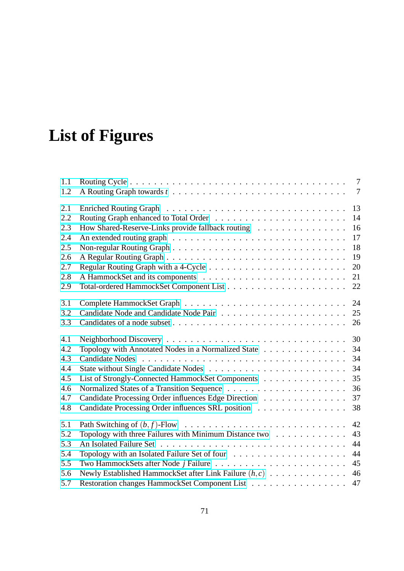## **List of Figures**

| 1.1 |                                                          | $\tau$         |
|-----|----------------------------------------------------------|----------------|
| 1.2 |                                                          | $\overline{7}$ |
| 2.1 |                                                          | 13             |
| 2.2 |                                                          | 14             |
| 2.3 | How Shared-Reserve-Links provide fallback routing        | 16             |
| 2.4 |                                                          | 17             |
| 2.5 |                                                          | 18             |
| 2.6 |                                                          | 19             |
| 2.7 |                                                          | 20             |
| 2.8 |                                                          | 21             |
| 2.9 |                                                          | 22             |
| 3.1 |                                                          | 24             |
| 3.2 |                                                          | 25             |
| 3.3 |                                                          | 26             |
| 4.1 |                                                          | 30             |
| 4.2 | Topology with Annotated Nodes in a Normalized State      | 34             |
| 4.3 |                                                          | 34             |
| 4.4 |                                                          | 34             |
| 4.5 | List of Strongly-Connected HammockSet Components         | 35             |
| 4.6 |                                                          | 36             |
| 4.7 | Candidate Processing Order influences Edge Direction     | 37             |
| 4.8 | Candidate Processing Order influences SRL position       | 38             |
| 5.1 |                                                          | 42             |
| 5.2 | Topology with three Failures with Minimum Distance two   | 43             |
| 5.3 |                                                          | 44             |
| 5.4 |                                                          | 44             |
| 5.5 |                                                          | 45             |
| 5.6 | Newly Established HammockSet after Link Failure $(h, c)$ | 46             |
| 5.7 | Restoration changes HammockSet Component List            | 47             |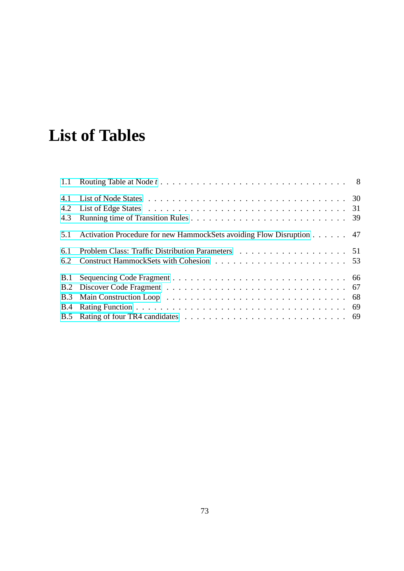## **List of Tables**

| 4.1        |                                                                      |  |
|------------|----------------------------------------------------------------------|--|
| 4.2        |                                                                      |  |
| 4.3        |                                                                      |  |
| 5.1        | Activation Procedure for new HammockSets avoiding Flow Disruption 47 |  |
| 6.1        |                                                                      |  |
| 6.2        |                                                                      |  |
| <b>B.1</b> |                                                                      |  |
|            |                                                                      |  |
|            |                                                                      |  |
| B.4        |                                                                      |  |
|            |                                                                      |  |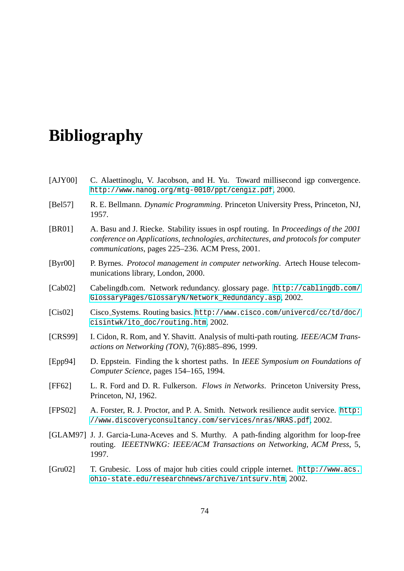## **Bibliography**

- [AJY00] C. Alaettinoglu, V. Jacobson, and H. Yu. Toward millisecond igp convergence. http://www.nanog.org/mtg-0010/ppt/cengiz.pdf, 2000.
- [Bel57] R. E. Bellmann. *Dynamic Programming*. Princeton University Press, Princeton, NJ, 1957.
- [BR01] [A. Basu and J. Riecke. Stability issues in ospf routing. I](http://www.nanog.org/mtg-0010/ppt/cengiz.pdf)n *Proceedings of the 2001 conference on Applications, technologies, architectures, and protocols for computer communications*, pages 225–236. ACM Press, 2001.
- [Byr00] P. Byrnes. *Protocol management in computer networking*. Artech House telecommunications library, London, 2000.
- [Cab02] Cabelingdb.com. Network redundancy. glossary page. http://cablingdb.com/ GlossaryPages/GlossaryN/Network\_Redundancy.asp, 2002.
- [Cis02] Cisco Systems. Routing basics. http://www.cisco.com/univercd/cc/td/doc/ cisintwk/ito\_doc/routing.htm, 2002.
- [CRS99] [I. Cidon, R. Rom, and Y. Shavitt. Analysis of multi-path rou](http://cablingdb.com/GlossaryPages/GlossaryN/Network_Redundancy.asp)ting. *IEEE/ACM Transactions on Networking (TON)*, [7\(6\):885–896, 1999.](http://www.cisco.com/univercd/cc/td/doc/cisintwk/ito_doc/routing.htm)
- [Epp94] [D. Eppstein. Finding the k shortest](http://www.cisco.com/univercd/cc/td/doc/cisintwk/ito_doc/routing.htm) paths. In *IEEE Symposium on Foundations of Computer Science*, pages 154–165, 1994.
- [FF62] L. R. Ford and D. R. Fulkerson. *Flows in Networks*. Princeton University Press, Princeton, NJ, 1962.
- [FPS02] A. Forster, R. J. Proctor, and P. A. Smith. Network resilience audit service. http: //www.discoveryconsultancy.com/services/nras/NRAS.pdf, 2002.
- [GLAM97] J. J. Garcia-Luna-Aceves and S. Murthy. A path-finding algorithm for loop-free routing. *IEEETNWKG: IEEE/ACM Transactions on Networking, ACM Press*[, 5,](http://www.discoveryconsultancy.com/services/nras/NRAS.pdf) [1997.](http://www.discoveryconsultancy.com/services/nras/NRAS.pdf)
- [Gru02] T. Grubesic. Loss of major hub cities could cripple internet. http://www.acs. ohio-state.edu/researchnews/archive/intsurv.htm, 2002.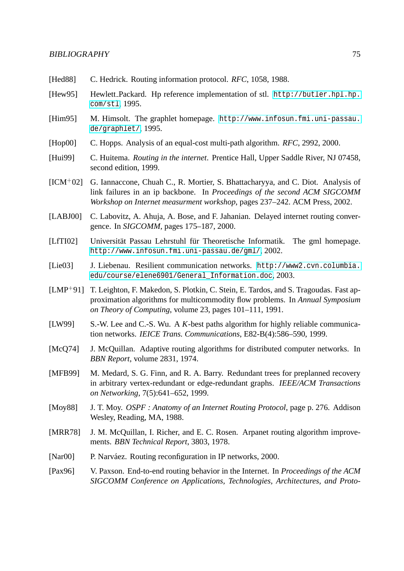- [Hed88] C. Hedrick. Routing information protocol. *RFC*, 1058, 1988.
- [Hew95] Hewlett Packard. Hp reference implementation of stl. http://butler.hpl.hp. com/stl, 1995.
- [Him95] M. Himsolt. The graphlet homepage. http://www.infosun.fmi.uni-passau. de/graphlet/, 1995.
- [Hop00] [C. Hopps](http://butler.hpl.hp.com/stl). Analysis of an equal-cost multi-path algorithm. *RFC*, 2992, 2000.
- [Hui99] C. Huitema. *Routing in the internet*. P[rentice Hall, Upper Saddle River, NJ 07458,](http://www.infosun.fmi.uni-passau.de/graphlet/) [second edition,](http://www.infosun.fmi.uni-passau.de/graphlet/) 1999.
- [ICM+02] G. Iannaccone, Chuah C., R. Mortier, S. Bhattacharyya, and C. Diot. Analysis of link failures in an ip backbone. In *Proceedings of the second ACM SIGCOMM Workshop on Internet measurment workshop*, pages 237–242. ACM Press, 2002.
- [LABJ00] C. Labovitz, A. Ahuja, A. Bose, and F. Jahanian. Delayed internet routing convergence. In *SIGCOMM*, pages 175–187, 2000.
- [LfTI02] Universität Passau Lehrstuhl für Theoretische Informatik. The gml homepage. http://www.infosun.fmi.uni-passau.de/gml/, 2002.
- [Lie03] J. Liebenau. Resilient communication networks. http://www2.cvn.columbia. edu/course/elene6901/General\_Information.doc, 2003.
- [LMP+91] [T. Leighton, F. Makedon, S. Plotkin, C. Stein, E. Tard](http://www.infosun.fmi.uni-passau.de/gml/)os, and S. Tragoudas. Fast approximation algorithms for multicommodity flow problems. In *[Annual Symposium](http://www2.cvn.columbia.edu/course/elene6901/General_Information.doc) on Theory of Computing*[, volume 23, pages 101–111, 19](http://www2.cvn.columbia.edu/course/elene6901/General_Information.doc)91.
- [LW99] S.-W. Lee and C.-S. Wu. A *K*-best paths algorithm for highly reliable communication networks. *IEICE Trans. Communications*, E82-B(4):586–590, 1999.
- [McQ74] J. McQuillan. Adaptive routing algorithms for distributed computer networks. In *BBN Report*, volume 2831, 1974.
- [MFB99] M. Medard, S. G. Finn, and R. A. Barry. Redundant trees for preplanned recovery in arbitrary vertex-redundant or edge-redundant graphs. *IEEE/ACM Transactions on Networking*, 7(5):641–652, 1999.
- [Moy88] J. T. Moy. *OSPF : Anatomy of an Internet Routing Protocol*, page p. 276. Addison Wesley, Reading, MA, 1988.
- [MRR78] J. M. McQuillan, I. Richer, and E. C. Rosen. Arpanet routing algorithm improvements. *BBN Technical Report*, 3803, 1978.
- [Nar00] P. Narváez. Routing reconfiguration in IP networks, 2000.
- [Pax96] V. Paxson. End-to-end routing behavior in the Internet. In *Proceedings of the ACM SIGCOMM Conference on Applications, Technologies, Architectures, and Proto-*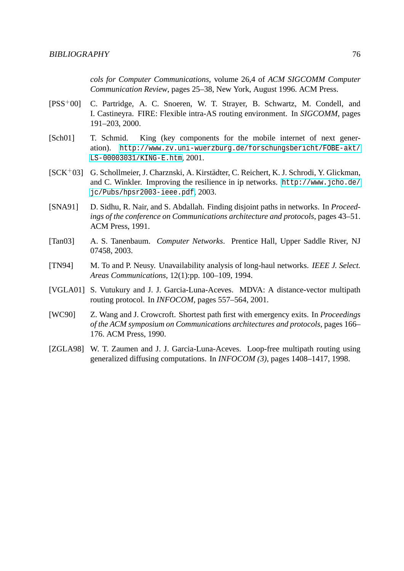*cols for Computer Communications*, volume 26,4 of *ACM SIGCOMM Computer Communication Review*, pages 25–38, New York, August 1996. ACM Press.

- [PSS+00] C. Partridge, A. C. Snoeren, W. T. Strayer, B. Schwartz, M. Condell, and I. Castineyra. FIRE: Flexible intra-AS routing environment. In *SIGCOMM*, pages 191–203, 2000.
- [Sch01] T. Schmid. King (key components for the mobile internet of next generation). http://www.zv.uni-wuerzburg.de/forschungsbericht/FOBE-akt/ LS-00003031/KING-E.htm, 2001.
- [SCK+03] G. Schollmeier, J. Charznski, A. Kirstädter, C. Reichert, K. J. Schrodi, Y. Glickman, and C. [Winkler. Improving the resilience in ip networks.](http://www.zv.uni-wuerzburg.de/forschungsbericht/FOBE-akt/LS-00003031/KING-E.htm) http://www.jcho.de/ [jc/Pubs/hpsr2003-ieee.p](http://www.zv.uni-wuerzburg.de/forschungsbericht/FOBE-akt/LS-00003031/KING-E.htm)df, 2003.
- [SNA91] D. Sidhu, R. Nair, and S. Abdallah. Finding disjoint paths in networks. In *Proceedings of the conference on Communications architecture and protocols*[, pages 43–51.](http://www.jcho.de/jc/Pubs/hpsr2003-ieee.pdf) [ACM Press, 1991.](http://www.jcho.de/jc/Pubs/hpsr2003-ieee.pdf)
- [Tan03] A. S. Tanenbaum. *Computer Networks*. Prentice Hall, Upper Saddle River, NJ 07458, 2003.
- [TN94] M. To and P. Neusy. Unavailability analysis of long-haul networks. *IEEE J. Select. Areas Communications*, 12(1):pp. 100–109, 1994.
- [VGLA01] S. Vutukury and J. J. Garcia-Luna-Aceves. MDVA: A distance-vector multipath routing protocol. In *INFOCOM*, pages 557–564, 2001.
- [WC90] Z. Wang and J. Crowcroft. Shortest path first with emergency exits. In *Proceedings of the ACM symposium on Communications architectures and protocols*, pages 166– 176. ACM Press, 1990.
- [ZGLA98] W. T. Zaumen and J. J. Garcia-Luna-Aceves. Loop-free multipath routing using generalized diffusing computations. In *INFOCOM (3)*, pages 1408–1417, 1998.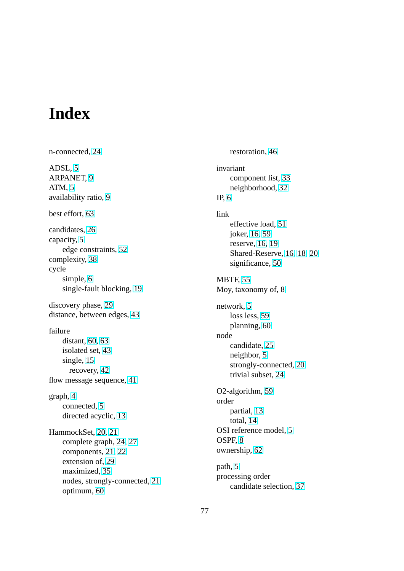## **Index**

n-connected, 24 ADSL, 5 ARPANET, 9 ATM, 5 availab[ilit](#page-7-0)y ratio, 9 best e[ffo](#page-7-0)rt, [63](#page-11-0) candidates, 26 capacity, 5 edge c[ons](#page-65-0)traints, 52 complexity, [38](#page-28-0) cycle simp[le,](#page-7-0) 6 single-f[ault](#page-40-0) bloc[king](#page-54-0), 19 discovery phase, 29 distance, be[tw](#page-8-0)een edges, [43](#page-21-0) failure distant, 60, [63](#page-31-0) isolated set, 43 single, 15 recov[ery,](#page-62-0) [42](#page-65-0) flow message se[que](#page-45-0)nce, 41 graph, 4 connected, [5](#page-44-0) directed acyclic, 13 Ham[moc](#page-6-0)kSet, 20, 21 complete g[ra](#page-7-0)ph, 24, 27 components, 21, [22](#page-15-0) extension [of,](#page-22-0) [29](#page-23-0) maximized, 35 nodes, stron[gly-](#page-23-0)[c](#page-26-0)[on](#page-24-0)[nect](#page-29-0)ed, 21 optimum, 60

restoration, 46 invariant component list, 33 neighborho[od,](#page-48-0) 32 IP, 6 link effective load, [51](#page-34-0) [j](#page-8-0)oker, 16, 59 reserve, 16, 19 Shared-Reser[ve,](#page-53-0) 16, 18, 20 signi[fican](#page-18-0)[ce,](#page-61-0) 50 MBTF, 55 Moy, taxonomy [of,](#page-52-0) [8](#page-18-0) network, 5 los[s le](#page-57-0)ss, 59 planning, 60 node cand[ida](#page-7-0)te, [25](#page-61-0) neighbor, 5 strongly-[conn](#page-62-0)ected, 20 trivial sub[set,](#page-27-0) 24 O2-algorithm, [5](#page-7-0)9 order partial, 13 total, 14 OSI reference [mo](#page-61-0)del, 5 OSPF, 8 ownershi[p,](#page-16-0) [62](#page-15-0) path, 5 proces[sin](#page-10-0)g order candid[ate](#page-64-0) selection, 37